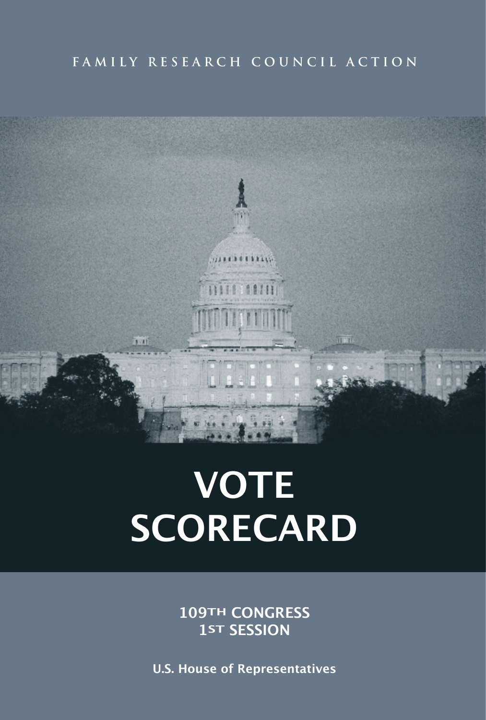# FAMILY RESEARCH COUNCIL ACTION



# **VOTE SCORECARD**

**109TH CONGRESS 1ST SESSION**

**U.S. House of Representatives**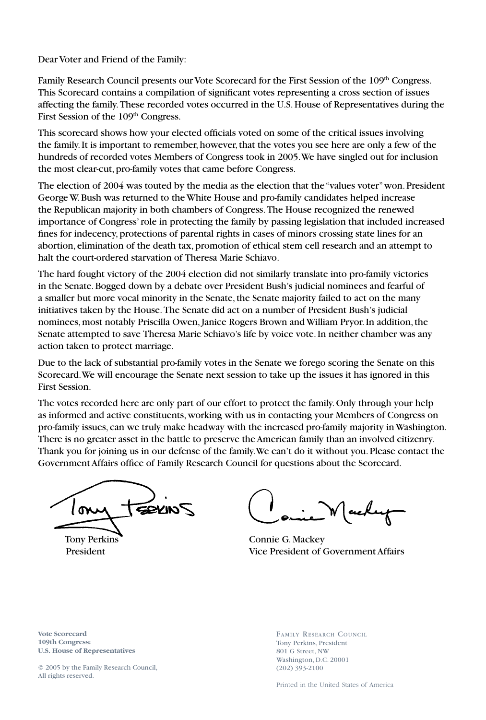Dear Voter and Friend of the Family:

Family Research Council presents our Vote Scorecard for the First Session of the 109<sup>th</sup> Congress. This Scorecard contains a compilation of significant votes representing a cross section of issues affecting the family. These recorded votes occurred in the U.S. House of Representatives during the First Session of the 109<sup>th</sup> Congress.

This scorecard shows how your elected officials voted on some of the critical issues involving the family. It is important to remember, however, that the votes you see here are only a few of the hundreds of recorded votes Members of Congress took in 2005. We have singled out for inclusion the most clear-cut, pro-family votes that came before Congress.

The election of 2004 was touted by the media as the election that the "values voter" won. President George W. Bush was returned to the White House and pro-family candidates helped increase the Republican majority in both chambers of Congress. The House recognized the renewed importance of Congress' role in protecting the family by passing legislation that included increased fines for indecency, protections of parental rights in cases of minors crossing state lines for an abortion, elimination of the death tax, promotion of ethical stem cell research and an attempt to halt the court-ordered starvation of Theresa Marie Schiavo.

The hard fought victory of the 2004 election did not similarly translate into pro-family victories in the Senate. Bogged down by a debate over President Bush's judicial nominees and fearful of a smaller but more vocal minority in the Senate, the Senate majority failed to act on the many initiatives taken by the House. The Senate did act on a number of President Bush's judicial nominees, most notably Priscilla Owen, Janice Rogers Brown and William Pryor. In addition, the Senate attempted to save Theresa Marie Schiavo's life by voice vote. In neither chamber was any action taken to protect marriage.

Due to the lack of substantial pro-family votes in the Senate we forego scoring the Senate on this Scorecard. We will encourage the Senate next session to take up the issues it has ignored in this First Session.

The votes recorded here are only part of our effort to protect the family. Only through your help as informed and active constituents, working with us in contacting your Members of Congress on pro-family issues, can we truly make headway with the increased pro-family majority in Washington. There is no greater asset in the battle to preserve the American family than an involved citizenry. Thank you for joining us in our defense of the family. We can't do it without you. Please contact the Government Affairs office of Family Research Council for questions about the Scorecard.

**SEKINS** 

Tony Perkins Connie G. Mackey President Vice President of Government Affairs

**Vote Scorecard 109th Congress: U.S. House of Representatives** 

© 2005 by the Family Research Council, All rights reserved.

FAMILY RESEARCH COUNCIL Tony Perkins, President 801 G Street, NW Washington, D.C. 20001 (202) 393-2100

Printed in the United States of America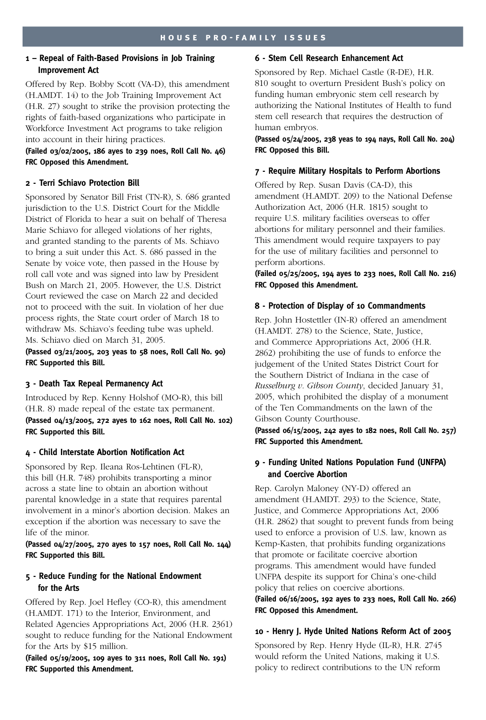# **1 – Repeal of Faith-Based Provisions in Job Training Improvement Act**

Offered by Rep. Bobby Scott (VA-D), this amendment (H.AMDT. 14) to the Job Training Improvement Act (H.R. 27) sought to strike the provision protecting the rights of faith-based organizations who participate in Workforce Investment Act programs to take religion into account in their hiring practices.

# **(Failed 03/02/2005, 186 ayes to 239 noes, Roll Call No. 46) FRC Opposed this Amendment.**

# **2 - Terri Schiavo Protection Bill**

Sponsored by Senator Bill Frist (TN-R), S. 686 granted jurisdiction to the U.S. District Court for the Middle District of Florida to hear a suit on behalf of Theresa Marie Schiavo for alleged violations of her rights, and granted standing to the parents of Ms. Schiavo to bring a suit under this Act. S. 686 passed in the Senate by voice vote, then passed in the House by roll call vote and was signed into law by President Bush on March 21, 2005. However, the U.S. District Court reviewed the case on March 22 and decided not to proceed with the suit. In violation of her due process rights, the State court order of March 18 to withdraw Ms. Schiavo's feeding tube was upheld. Ms. Schiavo died on March 31, 2005.

**(Passed 03/21/2005, 203 yeas to 58 noes, Roll Call No. 90) FRC Supported this Bill.** 

#### **3 - Death Tax Repeal Permanency Act**

Introduced by Rep. Kenny Holshof (MO-R), this bill (H.R. 8) made repeal of the estate tax permanent. **(Passed 04/13/2005, 272 ayes to 162 noes, Roll Call No. 102) FRC Supported this Bill.**

# **4 - Child Interstate Abortion Notification Act**

Sponsored by Rep. Ileana Ros-Lehtinen (FL-R), this bill (H.R. 748) prohibits transporting a minor across a state line to obtain an abortion without parental knowledge in a state that requires parental involvement in a minor's abortion decision. Makes an exception if the abortion was necessary to save the life of the minor.

## **(Passed 04/27/2005, 270 ayes to 157 noes, Roll Call No. 144) FRC Supported this Bill.**

# **5 - Reduce Funding for the National Endowment for the Arts**

Offered by Rep. Joel Hefley (CO-R), this amendment (H.AMDT. 171) to the Interior, Environment, and Related Agencies Appropriations Act, 2006 (H.R. 2361) sought to reduce funding for the National Endowment for the Arts by \$15 million.

**(Failed 05/19/2005, 109 ayes to 311 noes, Roll Call No. 191) FRC Supported this Amendment.** 

# **6 - Stem Cell Research Enhancement Act**

Sponsored by Rep. Michael Castle (R-DE), H.R. 810 sought to overturn President Bush's policy on funding human embryonic stem cell research by authorizing the National Institutes of Health to fund stem cell research that requires the destruction of human embryos.

# **(Passed 05/24/2005, 238 yeas to 194 nays, Roll Call No. 204) FRC Opposed this Bill.**

# **7 - Require Military Hospitals to Perform Abortions**

Offered by Rep. Susan Davis (CA-D), this amendment (H.AMDT. 209) to the National Defense Authorization Act, 2006 (H.R. 1815) sought to require U.S. military facilities overseas to offer abortions for military personnel and their families. This amendment would require taxpayers to pay for the use of military facilities and personnel to perform abortions.

# **(Failed 05/25/2005, 194 ayes to 233 noes, Roll Call No. 216) FRC Opposed this Amendment.**

# **8 - Protection of Display of 10 Commandments**

Rep. John Hostettler (IN-R) offered an amendment (H.AMDT. 278) to the Science, State, Justice, and Commerce Appropriations Act, 2006 (H.R. 2862) prohibiting the use of funds to enforce the judgement of the United States District Court for the Southern District of Indiana in the case of *Russelburg v. Gibson County*, decided January 31, 2005, which prohibited the display of a monument of the Ten Commandments on the lawn of the Gibson County Courthouse.

# **(Passed 06/15/2005, 242 ayes to 182 noes, Roll Call No. 257) FRC Supported this Amendment.**

# **9 - Funding United Nations Population Fund (UNFPA) and Coercive Abortion**

Rep. Carolyn Maloney (NY-D) offered an amendment (H.AMDT. 293) to the Science, State, Justice, and Commerce Appropriations Act, 2006 (H.R. 2862) that sought to prevent funds from being used to enforce a provision of U.S. law, known as Kemp-Kasten, that prohibits funding organizations that promote or facilitate coercive abortion programs. This amendment would have funded UNFPA despite its support for China's one-child policy that relies on coercive abortions.

# **(Failed 06/16/2005, 192 ayes to 233 noes, Roll Call No. 266) FRC Opposed this Amendment.**

# **10 - Henry J. Hyde United Nations Reform Act of 2005**

Sponsored by Rep. Henry Hyde (IL-R), H.R. 2745 would reform the United Nations, making it U.S. policy to redirect contributions to the UN reform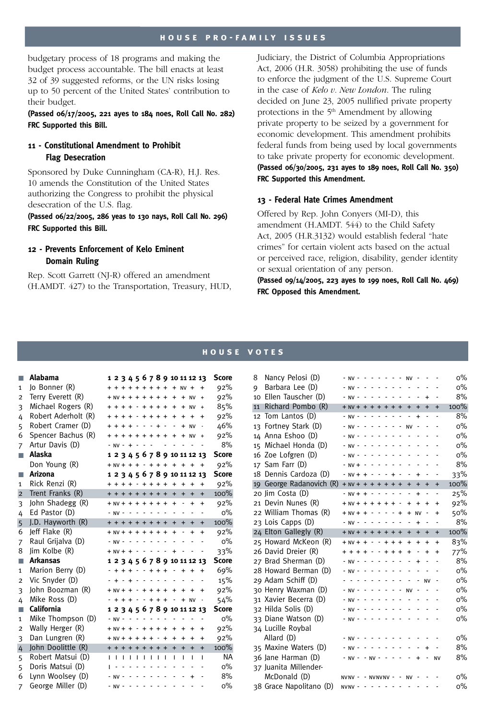#### **h o u s e p r o - f a m i ly i s s u e s**

budgetary process of 18 programs and making the budget process accountable. The bill enacts at least 32 of 39 suggested reforms, or the UN risks losing up to 50 percent of the United States' contribution to their budget.

**(Passed 06/17/2005, 221 ayes to 184 noes, Roll Call No. 282) FRC Supported this Bill.** 

# **11 - Constitutional Amendment to Prohibit Flag Desecration**

Sponsored by Duke Cunningham (CA-R), H.J. Res. 10 amends the Constitution of the United States authorizing the Congress to prohibit the physical desecration of the U.S. flag.

**(Passed 06/22/2005, 286 yeas to 130 nays, Roll Call No. 296) FRC Supported this Bill.**

# **12 - Prevents Enforcement of Kelo Eminent Domain Ruling**

Rep. Scott Garrett (NJ-R) offered an amendment (H.AMDT. 427) to the Transportation, Treasury, HUD, Judiciary, the District of Columbia Appropriations Act, 2006 (H.R. 3058) prohibiting the use of funds to enforce the judgment of the U.S. Supreme Court in the case of *Kelo v. New London*. The ruling decided on June 23, 2005 nullified private property protections in the  $5<sup>th</sup>$  Amendment by allowing private property to be seized by a government for economic development. This amendment prohibits federal funds from being used by local governments to take private property for economic development. **(Passed 06/30/2005, 231 ayes to 189 noes, Roll Call No. 350) FRC Supported this Amendment.**

## **13 - Federal Hate Crimes Amendment**

Offered by Rep. John Conyers (MI-D), this amendment (H.AMDT. 544) to the Child Safety Act, 2005 (H.R.3132) would establish federal "hate crimes" for certain violent acts based on the actual or perceived race, religion, disability, gender identity or sexual orientation of any person.

**(Passed 09/14/2005, 223 ayes to 199 noes, Roll Call No. 469) FRC Opposed this Amendment.** 

#### **h o u s e v o t e s**

| П              | Alabama             |                         |   |                |                |                          |                |                   |                | 1 2 3 4 5 6 7 8 9 10 11 12 13 |           |                                    |              | <b>Score</b> |
|----------------|---------------------|-------------------------|---|----------------|----------------|--------------------------|----------------|-------------------|----------------|-------------------------------|-----------|------------------------------------|--------------|--------------|
| $\mathbf{1}$   | Jo Bonner (R)       |                         |   |                |                |                          |                |                   |                | + + + + + + + + + + NV +      |           |                                    |              | 92%          |
| $\overline{2}$ | Terry Everett (R)   | $+ NV + + + + + + +$    |   |                |                |                          |                |                   |                | $\ddot{}$                     |           | $+ NV$                             | $\ddot{}$    | 92%          |
| 3              | Michael Rogers (R)  | $+ + + - + + + +$       |   |                |                |                          |                |                   |                | $\ddot{}$                     | $+$       | <b>NV</b>                          | $\ddot{}$    | 85%          |
| 4              | Robert Aderholt (R) |                         |   | $\overline{+}$ |                |                          |                | $- + + + + +$     |                | $\ddot{}$                     | $\ddot{}$ | $\ddot{}$                          | $\ddot{}$    | 92%          |
| 5<br>6         | Robert Cramer (D)   | $+ + + + +$             |   |                |                |                          |                | $- + -$           |                |                               | $+$       | <b>NV</b>                          |              | 46%          |
|                | Spencer Bachus (R)  | + + + + + + + +         |   |                |                |                          | $\sim$         |                   | $\overline{a}$ | $+$                           | ÷,        | $+ NV$<br>$\overline{\phantom{a}}$ | $\ddot{}$    | 92%<br>8%    |
| $\overline{7}$ | Artur Davis (D)     | $- NV - + - -$          |   |                |                |                          |                |                   |                |                               |           |                                    |              |              |
| ш              | Alaska              |                         |   |                |                |                          |                |                   |                | 1 2 3 4 5 6 7 8 9 10 11 12 13 |           |                                    |              | <b>Score</b> |
|                | Don Young (R)       |                         |   |                |                |                          |                |                   |                | $+ N V + + + + + + + + + +$   |           |                                    | $\ddot{}$    | 92%          |
| п              | Arizona             |                         |   |                |                |                          |                |                   |                | 1 2 3 4 5 6 7 8 9 10 11 12 13 |           |                                    |              | Score        |
| $\mathbf{1}$   | Rick Renzi (R)      |                         |   |                |                |                          |                |                   |                | + + + + - + + + + +           | $\ddot{}$ | $\ddot{}$                          | $\ddot{}$    | 92%          |
| $\overline{2}$ | Trent Franks (R)    | + + + + + + + + +       |   |                |                |                          |                |                   |                | $+$                           | $\ddot{}$ | $\ddot{}$                          | $\ddot{}$    | 100%         |
| 3              | John Shadegg (R)    | $+ NV +$                |   | $+ + + + +$    |                |                          |                |                   | $\overline{+}$ | $\ddot{}$                     |           | $+$                                | $\ddot{}$    | 92%          |
| 4              | Ed Pastor (D)       | $- NV -$                |   |                | $\overline{a}$ |                          |                |                   |                |                               |           |                                    |              | $0\%$        |
| 5              | J.D. Hayworth (R)   | + + + + + + + +         |   |                |                |                          |                |                   |                | $\ddot{}$                     | $\ddot{}$ | $\ddot{}$                          | $\ddot{}$    | 100%         |
| 6              | Jeff Flake (R)      | $+ NV + + + + + + +$    |   |                |                |                          |                |                   |                | $\ddot{}$                     | Ĭ.        | $\ddot{}$                          | $\ddot{}$    | 92%          |
| 7              | Raul Grijalva (D)   | $- NV -$                |   |                |                | $\sim$                   | $\sim$ $-$     |                   | $\sim$         |                               |           |                                    |              | $0\%$        |
| 8              | Jim Kolbe (R)       | $+ NV + + - - - - -$    |   |                |                |                          |                |                   |                | $\ddot{}$                     |           |                                    |              | 33%          |
| П              | <b>Arkansas</b>     |                         |   |                |                |                          |                |                   |                | 1 2 3 4 5 6 7 8 9 10 11 12 13 |           |                                    |              | <b>Score</b> |
| $\mathbf{1}$   | Marion Berry (D)    |                         |   |                |                |                          |                |                   |                | $+ + + - - + + + -$           | $+ +$     |                                    | $\ddot{}$    | 69%          |
| $\overline{2}$ | Vic Snyder (D)      |                         |   |                |                |                          |                |                   |                |                               |           |                                    |              | 15%          |
| 3              | John Boozman (R)    |                         |   | $+$            |                |                          |                | $- + + + + +$     |                | $\ddot{}$                     | $\ddot{}$ | $+$                                | $\ddot{}$    | 92%          |
| 4              | Mike Ross (D)       |                         |   |                |                |                          |                | $+ + + - - + + +$ |                | $- + NV$                      |           |                                    |              | 54%          |
| п              | California          |                         |   |                |                |                          |                |                   |                | 1 2 3 4 5 6 7 8 9 10 11 12 13 |           |                                    |              | <b>Score</b> |
| $\mathbf{1}$   | Mike Thompson (D)   | $- NV -$                |   |                |                |                          |                | .                 |                |                               |           | $\overline{a}$                     | ÷.           | $0\%$        |
| $\overline{2}$ | Wally Herger (R)    | $+ NV + + - + + + +$    |   |                |                |                          |                |                   |                | $\ddot{}$                     | $\ddot{}$ | $\ddot{}$                          | $\ddot{}$    | 92%          |
| 3              | Dan Lungren (R)     | $+ N V + + + + + + - +$ |   |                |                |                          |                |                   |                | $\ddot{}$                     | $\ddot{}$ | $\ddot{}$                          | $\ddot{}$    | 92%          |
| 4              | John Doolittle (R)  | + + + + + + + +         |   |                |                |                          |                |                   |                | $\ddot{}$                     | $\ddot{}$ | $\ddot{}$                          | $+$          | 100%         |
| 5              | Robert Matsui (D)   | п                       | п | $\blacksquare$ | $\blacksquare$ | $\blacksquare$           | $\blacksquare$ |                   | I.             | T                             | I.        | T                                  | $\mathbf{I}$ | <b>NA</b>    |
| 5              | Doris Matsui (D)    |                         |   |                |                |                          |                |                   |                |                               |           |                                    |              | $0\%$        |
| 6              | Lynn Woolsey (D)    |                         |   |                |                |                          |                |                   | Ĭ.             |                               |           | $\ddot{}$                          |              | 8%           |
| $\overline{7}$ | George Miller (D)   | - NV -                  |   | $\blacksquare$ | $\frac{1}{2}$  | $\overline{\phantom{a}}$ | $\sim$         |                   | $\sim$ $\sim$  | $\blacksquare$                | ä,        | $\overline{a}$                     |              | $O\%$        |

| 8  | Nancy Pelosi (D)         |                         |  |                                                                                                 |                                                                                                                       |                | - NV - - - - - - - NV - - |                |                |           | $0\%$ |
|----|--------------------------|-------------------------|--|-------------------------------------------------------------------------------------------------|-----------------------------------------------------------------------------------------------------------------------|----------------|---------------------------|----------------|----------------|-----------|-------|
| 9  | Barbara Lee (D)          | $- N V - - - - - - - -$ |  |                                                                                                 |                                                                                                                       |                | $\sim$ $ \sim$ $ \sim$    |                |                |           | $0\%$ |
|    | 10 Ellen Tauscher (D)    |                         |  |                                                                                                 |                                                                                                                       |                | - NV - - - - - - - - - -  |                | $\ddot{}$      |           | 8%    |
| 11 | Richard Pombo (R)        |                         |  |                                                                                                 |                                                                                                                       |                | $+ NV + + + + + + + + +$  |                | $+$            | $\ddot{}$ | 100%  |
| 12 | Tom Lantos (D)           | - NV -                  |  | $ -$                                                                                            | $\sim$ 100 $\sim$ 100 $\sim$                                                                                          |                |                           | $\ddot{}$      |                |           | 8%    |
|    | 13 Fortney Stark (D)     | $- NV -$                |  | $\mathcal{L}^{\mathcal{A}}$ . The set of the $\mathcal{A}$                                      |                                                                                                                       |                | <b>NV</b>                 |                |                |           | $0\%$ |
|    | 14 Anna Eshoo (D)        | $NV -$                  |  |                                                                                                 | $\sim$ $\sim$ $\sim$                                                                                                  |                |                           |                |                |           | $0\%$ |
|    | 15 Michael Honda (D)     |                         |  |                                                                                                 |                                                                                                                       |                |                           |                |                |           | $0\%$ |
|    | 16 Zoe Lofgren (D)       | $- NV -$                |  |                                                                                                 | $\mathcal{L}^{\mathcal{A}}$ , $\mathcal{L}^{\mathcal{A}}$ , $\mathcal{L}^{\mathcal{A}}$ , $\mathcal{L}^{\mathcal{A}}$ |                | ä,                        | $\sim$ $ \sim$ |                |           | $0\%$ |
|    | 17 Sam Farr (D)          | $- NV + -$              |  | and a single                                                                                    |                                                                                                                       |                |                           | $\sim$         |                |           | 8%    |
|    | 18 Dennis Cardoza (D)    | $- NV + + - - - + -$    |  |                                                                                                 |                                                                                                                       |                |                           | $\ddot{}$      |                |           | 33%   |
|    | 19 George Radanovich (R) | $+ NV + + + + + + +$    |  |                                                                                                 |                                                                                                                       |                | $+$                       | $+$            | $\ddot{}$      | $\ddot{}$ | 100%  |
|    | 20 Jim Costa (D)         | $- NV + + - - - - -$    |  |                                                                                                 |                                                                                                                       |                | $\blacksquare$            | $\ddot{}$      | $\overline{a}$ |           | 25%   |
|    | 21 Devin Nunes (R)       | $+ NV + + + + + + -$    |  |                                                                                                 |                                                                                                                       |                |                           | $+ + +$        |                | $\ddot{}$ | 92%   |
|    | 22 William Thomas (R)    |                         |  |                                                                                                 |                                                                                                                       | $-+$           | $\ddot{}$                 | <b>NV</b>      |                | $\ddot{}$ | 50%   |
|    | 23 Lois Capps (D)        | $- NV -$                |  |                                                                                                 |                                                                                                                       |                |                           | $\ddot{}$      |                |           | 8%    |
|    | 24 Elton Gallegly (R)    | $+ NV + + + + + + +$    |  |                                                                                                 |                                                                                                                       |                | $+$                       | $+$            | $\ddot{}$      | $\ddot{}$ | 100%  |
|    | 25 Howard McKeon (R)     | $+ NV + + - - + + + +$  |  |                                                                                                 |                                                                                                                       |                | $+$                       | $\ddot{}$      | $\ddot{}$      | $\ddot{}$ | 83%   |
|    | 26 David Dreier (R)      |                         |  | $+ + - + + + +$                                                                                 |                                                                                                                       |                | $\ddot{}$                 |                | $\ddot{}$      | $\ddot{}$ | 77%   |
|    | 27 Brad Sherman (D)      | $- NV - -$              |  | <b>Service</b> State                                                                            |                                                                                                                       | $\mathbb{Z}^2$ |                           | $\ddot{}$      |                |           | 8%    |
|    | 28 Howard Berman (D)     | $- N V - - - - - -$     |  |                                                                                                 |                                                                                                                       |                |                           |                |                |           | $0\%$ |
|    | 29 Adam Schiff (D)       |                         |  |                                                                                                 | .                                                                                                                     |                |                           |                | <b>NV</b>      |           | $0\%$ |
|    | 30 Henry Waxman (D)      |                         |  |                                                                                                 |                                                                                                                       |                | <b>NV</b>                 |                |                |           | $0\%$ |
|    | 31 Xavier Becerra (D)    | $NV -$                  |  |                                                                                                 |                                                                                                                       |                |                           |                |                |           | $0\%$ |
|    | 32 Hilda Solis (D)       | N <sub>V</sub>          |  |                                                                                                 |                                                                                                                       |                | and a state of the        |                |                |           | $0\%$ |
|    | 33 Diane Watson (D)      | N <sub>V</sub>          |  | and a state                                                                                     |                                                                                                                       |                | $\sim 10$ $\sim$          |                |                |           | $0\%$ |
|    | 34 Lucille Roybal        |                         |  |                                                                                                 |                                                                                                                       |                |                           |                |                |           |       |
|    | Allard (D)               | $- NV -$                |  |                                                                                                 |                                                                                                                       |                | والوالو والوالوا والوالو  |                |                |           | $0\%$ |
|    | 35 Maxine Waters (D)     |                         |  | $\mathcal{L}^{\mathcal{A}}$ , and $\mathcal{L}^{\mathcal{A}}$ , and $\mathcal{L}^{\mathcal{A}}$ |                                                                                                                       |                | $\sim$                    |                | $\ddot{}$      |           | 8%    |
|    | 36 Jane Harman (D)       | $- NV - - NV -$         |  |                                                                                                 | $\sim$ $\sim$ $\sim$                                                                                                  |                |                           | $\ddot{}$      |                | <b>NV</b> | 8%    |
|    | 37 Juanita Millender-    |                         |  |                                                                                                 |                                                                                                                       |                |                           |                |                |           |       |
|    | McDonald (D)             | NVNV-                   |  | $-$ NVNVNV $ -$                                                                                 |                                                                                                                       |                | $NV -$                    |                |                |           | $0\%$ |
|    | 38 Grace Napolitano (D)  | NVNV -                  |  | .                                                                                               |                                                                                                                       |                | <b>Service</b>            |                |                |           | $0\%$ |
|    |                          |                         |  |                                                                                                 |                                                                                                                       |                |                           |                |                |           |       |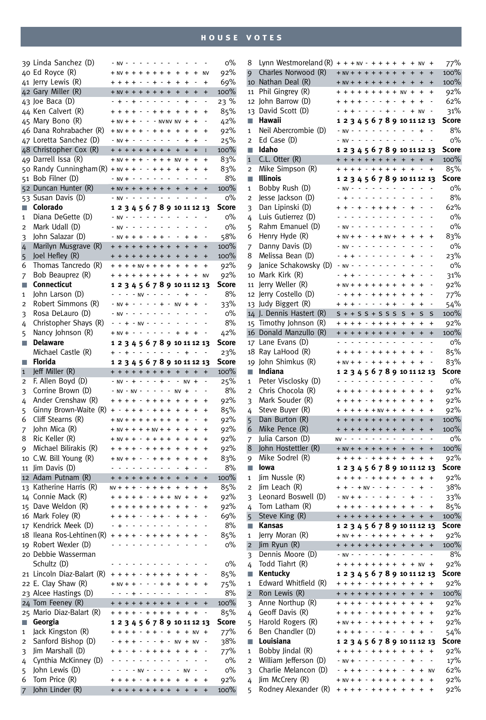|                   | 39 Linda Sanchez (D)                        | $- N V - - - - - - - -$                   |                          |                                                                                       |    |                |                                                                      |                |                                        |                        |                        |                          | 0%           |
|-------------------|---------------------------------------------|-------------------------------------------|--------------------------|---------------------------------------------------------------------------------------|----|----------------|----------------------------------------------------------------------|----------------|----------------------------------------|------------------------|------------------------|--------------------------|--------------|
|                   | 40 Ed Royce (R)                             | $+ NV + + + + + + + +$                    |                          |                                                                                       |    |                |                                                                      |                | $\ddot{}$                              | $\ddot{}$              | $\ddot{}$              | <b>NV</b>                | 92%          |
|                   | 41 Jerry Lewis (R)                          | $+ + + + - + + +$                         |                          |                                                                                       |    |                |                                                                      |                | $+$                                    | $\ddot{}$              |                        | $\ddot{}$                | 69%          |
|                   | 42 Gary Miller (R)                          | $+ NV + + + + + + +$                      |                          |                                                                                       |    |                |                                                                      |                | $\ddot{}$                              | $\ddot{}$              | $\ddot{}$              | $\ddot{}$                | 100%         |
|                   | 43 Joe Baca (D)                             | .                                         |                          |                                                                                       |    |                |                                                                      |                |                                        | $\ddot{}$              |                        | $\overline{\phantom{a}}$ | 23%          |
|                   | 44 Ken Calvert (R)                          | $+ + + - - + + +$                         |                          |                                                                                       |    |                |                                                                      |                | $\ddot{}$                              | $\ddot{}$              | $\ddot{}$              | $\ddot{}$                | 85%          |
|                   | 45 Mary Bono (R)                            |                                           |                          |                                                                                       |    |                |                                                                      |                | $+ NV + + - - + N VNV$                 | $\ddot{}$              | $\ddot{}$              | L,                       | 42%          |
|                   | 46 Dana Rohrabacher (R)                     | $+ NV + + + - + + +$                      |                          |                                                                                       |    |                |                                                                      |                | $\ddot{}$                              | $\ddot{}$              | $\ddot{}$              | $\ddot{}$                | 92%          |
|                   | 47 Loretta Sanchez (D)                      | $- NV + - - - - - - -$                    |                          |                                                                                       |    |                |                                                                      |                |                                        | $\ddot{}$              | $\ddot{}$              | $\overline{a}$           | 25%          |
|                   | 48 Christopher Cox (R)                      | + + + + + + + +                           |                          |                                                                                       |    |                |                                                                      |                | $\ddot{}$                              | $\ddot{}$              | $\ddot{}$              | ī                        | 100%         |
|                   | 49 Darrell Issa (R)                         | $+ NV + + + - + + +$                      |                          |                                                                                       |    |                |                                                                      |                | <b>NV</b>                              | $\ddot{}$              | $\ddot{}$              | $\ddot{}$                | 83%          |
|                   | 50 Randy Cunningham (R)                     | $+ NV + + - - + + +$                      |                          |                                                                                       |    |                |                                                                      |                | $\ddot{}$                              | $\ddot{}$              | $\ddot{}$              | $\ddot{}$                | 83%          |
|                   | 51 Bob Filner (D)                           | $- NV + - - - - - -$                      |                          |                                                                                       |    |                |                                                                      |                |                                        |                        |                        |                          | 8%           |
|                   | 52 Duncan Hunter (R)                        | $+ NV + + + + + + +$                      |                          |                                                                                       |    |                |                                                                      |                | $\ddot{}$                              | $\ddot{}$              | $\ddot{}$              | $\ddot{}$                | 100%         |
|                   | 53 Susan Davis (D)                          | $NV -$                                    |                          |                                                                                       |    |                | والوالو والوالو                                                      |                |                                        |                        |                        |                          | O%           |
| F.                | Colorado                                    |                                           |                          |                                                                                       |    |                |                                                                      |                | 1 2 3 4 5 6 7 8 9 10 11 12 13          |                        |                        |                          | Score        |
| 1                 | Diana DeGette (D)                           | $- N V - - - - - - - -$                   |                          |                                                                                       |    |                |                                                                      |                |                                        |                        |                        |                          | O%           |
| 2                 | Mark Udall (D)                              | $- NV -$                                  | $\overline{\phantom{a}}$ | $\mathcal{L}^{\pm}$ , $\mathcal{L}^{\pm}$ , $\mathcal{L}^{\pm}$ , $\mathcal{L}^{\pm}$ |    |                |                                                                      | $\sim$         |                                        |                        |                        |                          | O%           |
| 3                 | John Salazar (D)                            |                                           |                          |                                                                                       |    |                | $NVI + + + - + + -$                                                  |                |                                        | $\ddot{}$              | $\ddot{}$              |                          | 58%          |
| 4                 | Marilyn Musgrave (R)                        | + + + + + + + +                           |                          |                                                                                       |    |                |                                                                      |                | $\ddot{}$                              | $\ddot{}$              | $\ddot{}$              | $\ddot{}$                | 100%         |
| 5                 | Joel Hefley (R)                             | + + + + + + + +                           |                          |                                                                                       |    |                |                                                                      |                | $+$                                    | $\ddot{}$              | $\ddot{}$              | $\ddot{}$                | 100%         |
| 6                 | Thomas Tancredo (R)                         | $+ + + +$ NV + + + +                      |                          |                                                                                       |    |                |                                                                      |                | $\ddot{}$                              | $\ddot{}$              | $\ddot{}$              | $\ddot{}$                | 92%          |
| 7                 | Bob Beauprez (R)                            |                                           |                          |                                                                                       |    |                |                                                                      |                | + + + + + + + + + +                    |                        | $\ddot{}$              | <b>NV</b>                | 92%          |
| П                 | <b>Connecticut</b>                          |                                           |                          |                                                                                       |    |                |                                                                      |                | 12345678910111213                      |                        |                        |                          | Score        |
| 1                 | John Larson (D)                             |                                           |                          |                                                                                       |    |                | $-  -$ NV - - - -                                                    |                | $\overline{a}$                         | $\ddot{}$              | Ĭ.                     |                          | 8%           |
| 2                 | Robert Simmons (R)                          | $- NV + -$                                |                          |                                                                                       |    |                | $- - - + -$<br>$\mathcal{L}$ , and $\mathcal{L}$ , and $\mathcal{L}$ |                | $NV +$<br>L                            | l,                     | $\ddot{}$<br>L         |                          | 33%          |
| 3                 | Rosa DeLauro (D)                            | $- NV - -$                                |                          |                                                                                       |    |                |                                                                      |                |                                        |                        |                        |                          | $0\%$        |
| 4                 | Christopher Shays (R)                       |                                           |                          |                                                                                       |    |                | $- + - NV - - - -$                                                   |                | $\sim$                                 | $\overline{a}$         |                        |                          | 8%           |
| 5                 | Nancy Johnson (R)                           |                                           |                          |                                                                                       |    |                |                                                                      |                | $+ NV + - - - - - - +$                 | $\ddot{}$              | $\ddot{}$              |                          | 42%          |
| n.                | <b>Delaware</b>                             |                                           |                          |                                                                                       |    | $\overline{a}$ |                                                                      | $ -$           | 1 2 3 4 5 6 7 8 9 10 11 12 13          |                        |                        |                          | Score        |
|                   | Michael Castle (R)<br>Florida               |                                           | $- + - - -$              |                                                                                       |    |                |                                                                      |                |                                        | $\ddot{}$              |                        |                          | 23%<br>Score |
| П<br>$\mathbf{1}$ | Jeff Miller (R)                             | + + + + + + + +                           |                          |                                                                                       |    |                |                                                                      |                | 1 2 3 4 5 6 7 8 9 10 11 12 13<br>$+$ + |                        | $\ddot{}$              | $\ddot{}$                | 100%         |
|                   | F. Allen Boyd (D)                           | $NV - + - - - + -$                        |                          |                                                                                       |    |                |                                                                      |                | Ĭ.                                     | <b>NV</b>              | $\ddot{}$              |                          | 25%          |
|                   |                                             |                                           |                          |                                                                                       |    |                |                                                                      |                |                                        |                        |                        |                          |              |
| 2                 |                                             |                                           |                          |                                                                                       |    |                |                                                                      |                |                                        |                        |                        |                          |              |
| 3                 | Corrine Brown (D)                           | $- NV - NV - - - - -$                     |                          |                                                                                       |    |                |                                                                      |                | <b>NV</b>                              | $\ddot{}$              | Ĭ.                     |                          | 8%           |
| 4                 | Ander Crenshaw (R)                          | + + + + - + + + +                         |                          |                                                                                       |    |                |                                                                      |                | $+$                                    | $\ddot{}$              | $\ddot{}$              | $\ddot{}$                | 92%          |
| 5                 | Ginny Brown-Waite (R)                       |                                           |                          |                                                                                       |    |                | $+ + + - + + +$                                                      |                | $\ddot{}$                              | $\ddot{}$              | $\ddot{}$              | $\ddot{}$                | 85%          |
| 6                 | Cliff Stearns (R)                           | $+ NV + + + + + + +$                      |                          |                                                                                       |    |                |                                                                      |                | $+$                                    | $\ddot{}$              |                        | $\ddot{}$                | 92%          |
| 7                 | John Mica (R)                               | $+ NV + + + + NV + +$                     |                          |                                                                                       |    |                |                                                                      |                | $\ddot{}$<br>$\ddot{}$                 | $\ddot{}$<br>$\ddot{}$ | $\ddot{}$              | $\ddot{}$                | 92%          |
| 8                 | Ric Keller (R)                              | $+ NV + + - + + + +$<br>$+ + + - + + + +$ |                          |                                                                                       |    |                |                                                                      |                | $\ddot{}$                              | $\ddot{}$              | $\ddot{}$<br>$\ddot{}$ | $\ddot{}$                | 92%          |
| 9                 | Michael Bilirakis (R)                       | $+ NV + + - + + + +$                      |                          |                                                                                       |    |                |                                                                      |                | $\ddot{}$                              | $\ddot{}$              | $\ddot{}$              | $\ddot{}$<br>$\ddot{}$   | 92%          |
| 10                | C.W. Bill Young (R)                         |                                           |                          |                                                                                       |    |                | $\mathcal{L}$ , and $\mathcal{L}$ , and $\mathcal{L}$ , and          |                | $\overline{a}$                         | $\ddot{}$              | Ĭ.                     | $\overline{a}$           | 83%          |
| 11<br>12          | Jim Davis (D)                               | + + + + + + + +                           |                          |                                                                                       |    |                |                                                                      |                | $\ddot{+}$                             | $\ddot{}$              | $\ddot{}$              | $\ddot{}$                | 8%           |
|                   | Adam Putnam (R)<br>Katherine Harris (R)     | $NV + + + - + + + +$                      |                          |                                                                                       |    |                |                                                                      |                | $\ddot{}$                              | $\ddot{}$              | $\ddot{}$              | $\ddot{}$                | 100%         |
| 13<br>14          |                                             |                                           |                          |                                                                                       |    |                |                                                                      |                | $+ + + + + + + + + +$ NV +             |                        | $\ddot{}$              | $\ddot{}$                | 85%          |
|                   | Connie Mack (R)                             |                                           |                          |                                                                                       |    |                | .                                                                    |                |                                        |                        |                        |                          | 92%          |
|                   | 15 Dave Weldon (R)                          | + + + + - - + + -                         |                          |                                                                                       |    |                |                                                                      |                | $\ddot{}$                              | $\ddot{}$              | +                      | -                        | 92%<br>69%   |
|                   | 16 Mark Foley (R)<br>17 Kendrick Meek (D)   |                                           |                          |                                                                                       |    |                |                                                                      |                |                                        |                        |                        |                          | 8%           |
|                   | 18 Ileana Ros-Lehtinen (R)                  |                                           |                          |                                                                                       |    |                |                                                                      | $\overline{+}$ |                                        | ÷.                     | $\ddot{}$              |                          | 85%          |
|                   |                                             |                                           |                          |                                                                                       |    |                |                                                                      |                |                                        |                        |                        |                          | о%           |
|                   | 19 Robert Wexler (D)<br>20 Debbie Wasserman |                                           |                          |                                                                                       |    |                |                                                                      |                |                                        |                        |                        |                          |              |
|                   | Schultz (D)                                 |                                           |                          |                                                                                       |    |                |                                                                      |                |                                        |                        |                        |                          | о%           |
|                   | 21 Lincoln Diaz-Balart (R)                  | $+ + +$                                   |                          |                                                                                       |    | $+ +$          | $+ +$                                                                |                | $\ddot{}$                              | $\ddot{}$              | $\ddot{}$              |                          | 85%          |
|                   | 22 E. Clay Shaw (R)                         | $+ NV + +$                                |                          |                                                                                       |    |                |                                                                      | $+ +$          | $\ddot{}$                              | $\ddot{}$              | $\ddot{}$              | $\ddot{}$                | 75%          |
|                   | 23 Alcee Hastings (D)                       |                                           | $- - + -$                |                                                                                       |    |                |                                                                      |                |                                        |                        |                        | $\overline{\phantom{a}}$ | 8%           |
|                   | 24 Tom Feeney (R)                           | + + + + + + + + +                         |                          |                                                                                       |    |                |                                                                      |                | $\ddot{}$                              | $\ddot{}$              | $\ddot{}$              | $\ddot{}$                | 100%         |
|                   | 25 Mario Diaz-Balart (R)                    |                                           |                          |                                                                                       |    |                | $+ + + - + + + +$                                                    |                | $\ddot{}$                              | $\ddot{}$              | $\ddot{}$              | $\overline{\phantom{a}}$ | 85%          |
| П                 | Georgia                                     |                                           |                          |                                                                                       |    |                |                                                                      |                | 1 2 3 4 5 6 7 8 9 10 11 12 13          |                        |                        |                          | Score        |
| 1                 | Jack Kingston (R)                           |                                           |                          |                                                                                       |    |                |                                                                      |                | $+ + + - + + + + + + +$                |                        |                        | $\ddot{}$                | 77%          |
| 2                 | Sanford Bishop (D)                          |                                           | $+ + + -$                |                                                                                       |    |                | $- - + -$                                                            |                | $NV + NV$                              |                        |                        |                          | 38%          |
| 3                 | Jim Marshall (D)                            |                                           | $- + -$                  |                                                                                       |    |                | $+ + + +$                                                            |                | $\ddot{}$                              | $\ddot{}$              | $\ddot{}$              |                          | 77%          |
| 4                 | Cynthia McKinney (D)                        |                                           |                          |                                                                                       | ÷. |                | $ -$                                                                 |                |                                        | Ĭ.                     | Ĭ.                     |                          | 0%           |
| 5                 | John Lewis (D)                              |                                           |                          | $- NV -$                                                                              |    |                |                                                                      |                |                                        | <b>NV</b>              |                        |                          | 0%           |
| 6                 | Tom Price (R)<br>John Linder (R)            |                                           | $+$                      |                                                                                       |    |                | $+ + + +$                                                            |                | $\ddot{}$<br>+ + + + + + + + +         | $\ddot{}$              | $\ddot{}$              | $\ddot{}$                | 92%<br>100%  |

| 8                 | Lynn Westmoreland $(R)$ + + + NV $-$ + + + + + |           |            |                |                                                                                 |                          |                          |                                                      |                |                              |                                                      | $\ddot{}$                    | <b>NV</b>                   | $\ddot{}$                        | 77%           |
|-------------------|------------------------------------------------|-----------|------------|----------------|---------------------------------------------------------------------------------|--------------------------|--------------------------|------------------------------------------------------|----------------|------------------------------|------------------------------------------------------|------------------------------|-----------------------------|----------------------------------|---------------|
| 9                 | Charles Norwood (R)                            |           |            |                | $+ NV + + + + + + +$                                                            |                          |                          |                                                      |                |                              | $+$                                                  | $+$                          | $\ddot{}$                   | $\ddot{}$                        | 100%          |
|                   | 10 Nathan Deal (R)                             |           |            |                |                                                                                 |                          |                          |                                                      |                |                              | $+ NV + + + + + + + + +$                             |                              | $\ddot{}$                   | $\ddot{}$                        | 100%          |
| 11                | Phil Gingrey (R)                               |           |            |                |                                                                                 |                          |                          |                                                      |                |                              | $+ + + + + + + + + +$ NV +                           |                              | $\ddot{}$                   | $\ddot{}$                        | 92%           |
| 12                | John Barrow (D)                                | $\ddot{}$ |            |                | $*** + + +$                                                                     |                          |                          |                                                      |                |                              | $+$                                                  | $+$                          | $\ddot{}$                   |                                  | 62%           |
| 13                | David Scott (D)                                |           |            |                | + + - - - - + -                                                                 |                          |                          |                                                      |                |                              | $\mathbb{Z}^+$                                       |                              | $+ NV$                      |                                  | 31%           |
| n.                | Hawaii                                         |           |            |                |                                                                                 |                          |                          |                                                      |                |                              | 1 2 3 4 5 6 7 8 9 10 11 12 13                        |                              |                             |                                  | Score         |
| 1                 | Neil Abercrombie (D)                           |           | $- NV -$   |                | $\omega$ , $\omega$ , $\omega$ , $\omega$ , $\omega$<br>$- N V - - - - - - - -$ |                          |                          |                                                      |                |                              | ÷.                                                   | $\overline{a}$               | $\ddot{}$<br>$\overline{a}$ |                                  | 8%<br>$0\%$   |
| $\overline{2}$    | Ed Case (D)<br>Idaho                           |           |            |                |                                                                                 |                          |                          |                                                      |                |                              | ÷,                                                   |                              |                             |                                  |               |
| П                 | C.L. Otter (R)                                 |           |            |                |                                                                                 |                          |                          |                                                      |                |                              | 1 2 3 4 5 6 7 8 9 10 11 12 13<br>+ + + + + + + + + + |                              | $\ddot{}$                   | $\ddot{}$                        | Score<br>100% |
| $\mathbf{1}$<br>2 | Mike Simpson (R)                               |           |            |                |                                                                                 |                          |                          |                                                      |                |                              | + + + + - + + + + + +                                |                              |                             | $\ddot{}$                        | 85%           |
| n.                | <b>Illinois</b>                                |           |            |                |                                                                                 |                          |                          |                                                      |                |                              | 1 2 3 4 5 6 7 8 9 10 11 12 13                        |                              |                             |                                  | <b>Score</b>  |
| 1                 | Bobby Rush (D)                                 |           |            |                | $- NV - - - - - - - -$                                                          |                          |                          |                                                      |                |                              | $\overline{a}$                                       | Ĭ,                           |                             |                                  | 0%            |
| 2                 | Jesse Jackson (D)                              |           | $+ -$      |                |                                                                                 |                          |                          | والوالو الوالو                                       |                |                              | $\overline{a}$                                       | $\qquad \qquad \blacksquare$ |                             |                                  | 8%            |
| 3                 | Dan Lipinski (D)                               | $\ddot{}$ |            |                | $+ - + - + + + +$                                                               |                          |                          |                                                      |                |                              | Ĭ.                                                   | $\ddot{}$                    |                             |                                  | 62%           |
| 4                 | Luis Gutierrez (D)                             |           |            |                | $\omega$ , $\omega$ , $\omega$ , $\omega$                                       |                          |                          | <b>Service</b> State                                 |                |                              | Ĭ.                                                   | Ĭ.                           |                             |                                  | $0\%$         |
| 5                 | Rahm Emanuel (D)                               |           |            |                | $NV - - - - - - - - -$                                                          |                          |                          |                                                      |                |                              |                                                      |                              |                             |                                  | O%            |
| 6                 | Henry Hyde (R)                                 |           |            |                | $+ NV + + - + + NV +$                                                           |                          |                          |                                                      |                |                              | $\ddot{}$                                            | $\ddot{}$                    | $\ddot{}$                   | $\ddot{}$                        | 83%           |
| 7                 | Danny Davis (D)                                |           |            | $NV -$         |                                                                                 |                          | $\sim$                   | $\sim$                                               | $\blacksquare$ | $\qquad \qquad \blacksquare$ | ÷,                                                   | $\frac{1}{2}$                | Ĭ.                          |                                  | 0%            |
| 8                 | Melissa Bean (D)                               |           | $+ +$      |                | $\sim$                                                                          |                          | $\sim$ $\sim$ $\sim$     |                                                      | $\sim$ $\sim$  |                              | $\overline{a}$                                       | $\ddot{}$                    | ÷,                          |                                  | 23%           |
| 9                 | Janice Schakowsky (D)                          |           | $- NV -$   |                |                                                                                 | $\overline{\phantom{a}}$ | $\sim$                   | $\sim$ $\sim$ $\sim$                                 |                |                              | Ĭ.                                                   | Ĭ.                           |                             |                                  | о%            |
|                   | 10 Mark Kirk (R)                               |           | $+ + -$    |                |                                                                                 |                          |                          | <b>Service</b>                                       |                |                              | $\ddot{}$                                            | $\ddot{}$                    |                             |                                  | 31%           |
| 11                | Jerry Weller (R)                               |           |            |                | $+ NV + + + + + + +$                                                            |                          |                          |                                                      |                |                              | $\ddot{}$                                            | $\ddot{}$                    | $\ddot{}$                   |                                  | 92%           |
| 12                | Jerry Costello (D)                             |           |            |                | $+ + + - + + + +$                                                               |                          |                          |                                                      |                |                              | $\ddot{}$                                            | $\ddot{}$                    | $\ddot{}$                   |                                  | 77%           |
| 13                | Judy Biggert (R)                               | $\ddot{}$ | $+ +$      |                | $- - - - + +$                                                                   |                          |                          |                                                      |                |                              | $\overline{a}$                                       | $\ddot{}$                    | $\ddot{}$                   |                                  | 54%           |
|                   | 14 J. Dennis Hastert (R)                       |           |            |                | $S + + S S + S S S$                                                             |                          |                          |                                                      |                |                              | S                                                    | $\ddot{}$                    | S                           | S                                | 100%          |
| 15                | Timothy Johnson (R)                            |           |            |                | <b>++++-++++</b>                                                                |                          |                          |                                                      |                |                              | $\ddot{}$                                            | $\ddot{}$                    | $\ddot{}$                   | $\ddot{}$                        | 92%           |
| 16                | Donald Manzullo (R)                            |           |            |                | + + + + + + + +                                                                 |                          |                          |                                                      |                |                              | $\ddot{}$                                            | $\ddot{}$                    | $\ddot{}$                   | $\ddot{}$                        | 100%          |
| 17                | Lane Evans (D)                                 |           |            |                | 2.12.12.12.1                                                                    |                          |                          |                                                      | ÷.             | $\sim$                       |                                                      |                              |                             |                                  | $0\%$         |
| 18                | Ray LaHood (R)                                 |           |            |                | + + + + - + + + +                                                               |                          |                          |                                                      |                |                              | $\ddot{}$                                            | $\ddot{}$                    | $\ddot{}$                   |                                  | 85%           |
| 19                | John Shimkus (R)                               |           |            |                |                                                                                 |                          |                          |                                                      |                |                              | $+ NV + + - + + + + + + +$                           |                              | $\overline{+}$              |                                  | 83%           |
| T.                | Indiana                                        |           |            |                |                                                                                 |                          |                          |                                                      |                |                              | 1 2 3 4 5 6 7 8 9 10 11 12 13                        |                              |                             |                                  | Score         |
| 1                 | Peter Visclosky (D)                            |           | $\sim$ $-$ |                |                                                                                 |                          |                          | $\omega$ , $\omega$ , $\omega$ , $\omega$ , $\omega$ |                |                              | Ĭ.                                                   | $\overline{a}$               | Ĭ.                          | ٠                                | $0\%$         |
| 2                 | Chris Chocola (R)                              |           |            |                | + + + + - + + + +                                                               |                          |                          |                                                      |                |                              | $\ddot{}$                                            | $\ddot{}$                    | $\ddot{}$                   | $\ddot{}$                        | 92%           |
|                   |                                                |           |            |                |                                                                                 |                          |                          |                                                      |                |                              |                                                      |                              |                             |                                  |               |
| 3                 | Mark Souder (R)                                |           |            |                | $+ + + -$                                                                       |                          |                          | $+ + + +$                                            |                |                              | $\ddot{}$                                            | $\ddot{}$                    | $\ddot{}$                   | $\ddot{}$                        | 92%           |
| 4                 | Steve Buyer (R)                                |           |            |                | $+ + + + + + + + +$                                                             |                          |                          |                                                      |                |                              | $\ddot{}$                                            | $\ddot{}$                    | $\ddot{}$                   | $\ddot{}$                        | 92%           |
| 5                 | Dan Burton (R)                                 |           |            |                | + + + + + + + +                                                                 |                          |                          |                                                      |                |                              | $\ddot{}$                                            | $\ddot{}$                    | $+$                         | $\ddot{}$                        | 100%          |
| 6                 | Mike Pence (R)                                 |           |            |                | + + + + + + + +                                                                 |                          |                          |                                                      |                |                              | $\ddot{}$                                            | $\ddot{}$                    | $\ddot{}$                   | $\ddot{}$                        | 100%          |
| 7                 | Julia Carson (D)                               |           |            |                | $NV - - - - - - - - - -$                                                        |                          |                          |                                                      |                |                              |                                                      |                              |                             | $\overline{\phantom{a}}$         | о%            |
| 8                 | John Hostettler (R)                            |           |            |                | $+ NV + + + + + + +$                                                            |                          |                          |                                                      |                |                              | $\ddot{}$                                            | $\ddot{}$                    | $\ddot{}$                   | $\ddot{}$                        | 100%          |
| 9                 | Mike Sodrel (R)                                |           |            |                | + + + + - + + + +                                                               |                          |                          |                                                      |                |                              | $+$                                                  | $\ddot{}$                    | $\ddot{}$                   | $\ddot{}$                        | 92%           |
| П                 | lowa                                           |           |            |                |                                                                                 |                          |                          |                                                      |                |                              | 1 2 3 4 5 6 7 8 9 10 11 12 13                        |                              |                             |                                  | <b>Score</b>  |
| 1                 | Jim Nussle (R)                                 |           |            |                | $+ + + - + + + +$                                                               |                          |                          |                                                      |                |                              | $+$                                                  | $\ddot{}$                    | $\ddot{}$                   | $\ddot{}$                        | 92%           |
| 2                 | Jim Leach (R)                                  |           |            |                | $+ + - +$ NV - - + -                                                            |                          |                          |                                                      |                |                              | Ĭ.                                                   | Ĭ.                           | $\ddot{}$                   |                                  | 38%           |
| 3                 | Leonard Boswell (D)                            |           |            |                | $- NV + + - - - + -$                                                            |                          |                          |                                                      |                |                              |                                                      | $\ddot{}$                    |                             |                                  | 33%           |
| 4                 | Tom Latham (R)                                 |           |            |                | + + + + - + + + +                                                               |                          |                          |                                                      |                |                              | $+$                                                  | $+$                          |                             | +                                | 85%           |
| 5                 | Steve King (R)                                 |           |            |                |                                                                                 |                          |                          |                                                      |                |                              | + + + + + + + + + + +                                |                              |                             | $\ddot{}$                        | 100%          |
| П<br>1            | Kansas                                         |           |            |                | $+ NV + + - + + + +$                                                            |                          |                          |                                                      |                |                              | 12345678910111213<br>$\ddot{}$                       | $\ddot{}$                    | $\ddot{}$                   | $\ddot{}$                        | <b>Score</b>  |
| $\overline{2}$    | Jerry Moran (R)                                |           |            |                | + + + + + + + +                                                                 |                          |                          |                                                      |                |                              | $\ddot{}$                                            | $\ddot{}$                    | $\ddot{}$                   | $\begin{array}{c} + \end{array}$ | 92%<br>100%   |
|                   | Jim Ryun $(R)$                                 |           | <b>NV</b>  | $\blacksquare$ | $\sim$                                                                          | $\blacksquare$           |                          | $\sim$ $-$                                           | $\ddot{}$      | $\ddot{\phantom{a}}$         |                                                      |                              |                             | $\blacksquare$                   | 8%            |
| 3                 | Dennis Moore (D)                               |           |            |                | + + + + + + + +                                                                 |                          |                          |                                                      |                |                              | $\ddot{}$                                            |                              | $+ NV$                      | $\ddot{}$                        | 92%           |
| 4<br>T.           | Todd Tiahrt (R)<br>Kentucky                    |           |            |                |                                                                                 |                          |                          |                                                      |                |                              | 1 2 3 4 5 6 7 8 9 10 11 12 13                        |                              |                             |                                  | Score         |
| 1                 | Edward Whitfield (R)                           |           |            |                | + + + + - + + + +                                                               |                          |                          |                                                      |                |                              | $\pmb{+}$                                            | $\ddot{}$                    | $\ddot{}$                   | $\ddot{}$                        | 92%           |
| $\overline{2}$    | Ron Lewis (R)                                  |           |            |                | + + + + + + + +                                                                 |                          |                          |                                                      |                |                              | $\ddot{}$                                            | $\ddot{}$                    | $\ddot{}$                   | $\ddot{}$                        | 100%          |
| 3                 | Anne Northup (R)                               |           |            |                | $+ + + - + + + +$                                                               |                          |                          |                                                      |                |                              | $\ddot{}$                                            | $\ddot{}$                    | $\ddot{}$                   | +                                | 92%           |
| 4                 | Geoff Davis (R)                                |           |            |                | + + + + - + + + +                                                               |                          |                          |                                                      |                |                              | $\ddot{}$                                            | $\ddot{}$                    | $\ddot{}$                   | $\ddot{}$                        | 92%           |
| 5                 | Harold Rogers (R)                              |           |            |                | $+ NV + + -$                                                                    |                          |                          | $+ + + +$                                            |                |                              | $\ddot{}$                                            | $\ddot{}$                    | $\ddot{}$                   | $\ddot{}$                        | 92%           |
| 6                 | Ben Chandler (D)                               |           |            |                | $+ + + + -$                                                                     |                          | $\overline{\phantom{a}}$ | $- + -$                                              |                |                              | ÷                                                    | $\ddot{}$                    | $\ddot{}$                   |                                  | 54%           |
| П                 | Louisiana                                      |           |            |                |                                                                                 |                          |                          |                                                      |                |                              | 1 2 3 4 5 6 7 8 9 10 11 12 13                        |                              |                             |                                  | Score         |
| 1                 | Bobby Jindal (R)                               |           |            |                | + + + + - + + + +                                                               |                          |                          |                                                      |                |                              | $\ddot{}$                                            | $\ddot{}$                    | $\ddot{}$                   | +                                | 92%           |
| 2                 | William Jefferson (D)                          |           | $- NV + -$ |                |                                                                                 |                          |                          |                                                      |                |                              |                                                      | $\ddot{}$                    |                             | $\overline{\phantom{0}}$         | 17%           |
| 3                 | Charlie Melancon (D)                           |           |            |                |                                                                                 |                          |                          |                                                      | $+ + +$        |                              |                                                      | $\ddot{}$                    | $\ddot{}$                   | NV                               | 62%           |
| 4                 | Jim McCrery (R)<br>Rodney Alexander (R)        |           |            |                | $+ NV + + -$                                                                    |                          | $\ddot{}$                | $+ + +$                                              |                |                              | $\ddot{}$                                            | $\ddot{}$                    | $\ddot{}$                   | $\ddot{}$                        | 92%<br>92%    |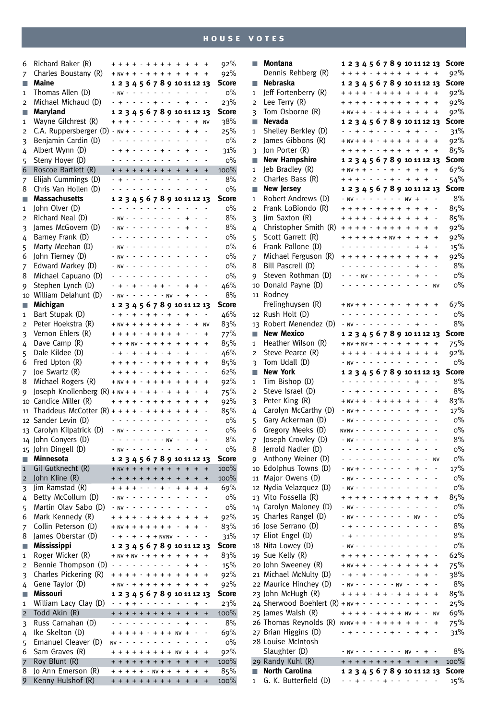| 6              | Richard Baker (R)                           |                |                         |                                                                                                     |                          |                      |                |                                           |                          | + + + + - + + + + + + +       |                                 |                                 | $\ddot{}$                    | 92%          |
|----------------|---------------------------------------------|----------------|-------------------------|-----------------------------------------------------------------------------------------------------|--------------------------|----------------------|----------------|-------------------------------------------|--------------------------|-------------------------------|---------------------------------|---------------------------------|------------------------------|--------------|
| 7              | Charles Boustany (R)                        |                | $+ NV + + - + + + +$    |                                                                                                     |                          |                      |                |                                           |                          | $+$                           | $\ddot{}$                       | $\ddot{}$                       | $\ddot{}$                    | 92%          |
| п              | Maine                                       |                |                         |                                                                                                     |                          |                      |                |                                           |                          | 1 2 3 4 5 6 7 8 9 10 11 12 13 |                                 |                                 |                              | <b>Score</b> |
| 1              | Thomas Allen (D)                            |                | $- N V - - - - - - - -$ |                                                                                                     |                          |                      |                |                                           |                          | $\sim$                        | $\sim$                          |                                 |                              | $0\%$        |
| 2              | Michael Michaud (D)                         |                |                         | $+ - - - - + + - -$                                                                                 |                          |                      |                |                                           |                          | $\blacksquare$                | $\ddot{}$                       | $\overline{a}$                  | $\qquad \qquad \blacksquare$ | 23%          |
| п              | Maryland                                    |                |                         |                                                                                                     |                          |                      |                |                                           |                          | 1 2 3 4 5 6 7 8 9 10 11 12 13 |                                 |                                 |                              | <b>Score</b> |
|                | Wayne Gilchrest (R)                         |                | $+ + + - -$             |                                                                                                     |                          |                      | ÷,             | $\sim$ $-$                                |                          | $\ddot{}$                     | $\frac{1}{2}$                   | $\ddot{}$                       | <b>NV</b>                    | 38%          |
| 1              |                                             |                | $- NV + -$              |                                                                                                     |                          |                      |                |                                           |                          | $\overline{a}$                |                                 |                                 |                              |              |
| 2              | C.A. Ruppersberger (D)                      |                |                         |                                                                                                     |                          | $\sim$ $\sim$ $\sim$ |                | $\sim$ $\sim$                             |                          |                               | $\ddot{}$                       | $\ddot{}$                       |                              | 25%          |
| 3              | Benjamin Cardin (D)                         |                |                         |                                                                                                     |                          |                      |                |                                           |                          |                               |                                 |                                 |                              | о%           |
| 4              | Albert Wynn (D)                             | $\overline{a}$ |                         | + + - - - - + -                                                                                     |                          |                      | $\sim$ $\sim$  | $\sim$                                    |                          |                               | $\ddot{}$                       | $\centering \label{eq:reduced}$ |                              | 31%          |
| 5              | Steny Hoyer (D)                             |                |                         |                                                                                                     |                          |                      |                |                                           |                          |                               | $\overline{a}$                  |                                 |                              | о%           |
| 6              | Roscoe Bartlett (R)                         |                | + + + + + + + +         |                                                                                                     |                          |                      |                |                                           |                          | $\ddot{}$                     | $\ddot{}$                       | $\ddot{}$                       | $\ddot{}$                    | 100%         |
| 7              | Elijah Cummings (D)                         |                |                         | .                                                                                                   |                          |                      |                |                                           |                          |                               |                                 |                                 | ÷,                           | 8%           |
| 8              | Chris Van Hollen (D)                        |                |                         | المناصر المناصر المناصر                                                                             |                          |                      |                |                                           |                          | L,                            | $\overline{a}$                  |                                 |                              | $0\%$        |
| п              | <b>Massachusetts</b>                        |                |                         |                                                                                                     |                          |                      |                |                                           |                          | 1 2 3 4 5 6 7 8 9 10 11 12 13 |                                 |                                 |                              | <b>Score</b> |
| 1              | John Olver (D)                              |                |                         | $\mathcal{L}^{\mathcal{A}}$ , and $\mathcal{L}^{\mathcal{A}}$ , and $\mathcal{L}^{\mathcal{A}}$     |                          |                      |                | $\sim$ $ \sim$                            |                          | L,                            | $\overline{a}$                  |                                 |                              | O%           |
| 2              | Richard Neal (D)                            |                | $- NV - - - - - - -$    |                                                                                                     |                          |                      |                |                                           | $\overline{\phantom{a}}$ |                               | $\ddot{}$                       |                                 |                              | 8%           |
| 3              | James McGovern (D)                          |                | $- N V - - - - - - - -$ |                                                                                                     |                          |                      |                |                                           |                          | $\overline{a}$                | $\ddot{}$                       |                                 |                              | 8%           |
| 4              | Barney Frank (D)                            |                |                         | 20202                                                                                               | $\sim$                   |                      |                | 20202                                     |                          | $\overline{a}$                | $\overline{\phantom{a}}$        |                                 |                              | O%           |
| 5              | Marty Meehan (D)                            |                | $NV -$                  | $\overline{\phantom{a}}$                                                                            | $\sim$                   |                      |                | 2020202                                   |                          | $\overline{a}$                | $\centering \label{eq:reduced}$ | L,                              |                              | O%           |
| 6              | John Tierney (D)                            |                | - NV -                  | $\qquad \qquad \blacksquare$                                                                        | $\sim$                   |                      |                | and a state                               |                          | $\overline{a}$                | ÷,                              |                                 |                              | $0\%$        |
| 7              | Edward Markey (D)                           |                | $NV -$                  |                                                                                                     | $\overline{\phantom{a}}$ |                      | 20202          |                                           | $\sim$                   |                               |                                 |                                 |                              | O%           |
| 8              | Michael Capuano (D)                         |                |                         | $\sim$                                                                                              | ä,                       | $\sim$               | $\overline{a}$ | $\sim$ $-$                                |                          | L,                            | $\overline{a}$                  |                                 |                              | O%           |
| 9              | Stephen Lynch (D)                           |                |                         |                                                                                                     |                          |                      |                | $+ - - + + -$                             |                          |                               | $\ddot{}$                       | $\ddot{}$                       |                              | 46%          |
| 10             | William Delahunt (D)                        |                | $- NV -$                | $- - - - - - NV$                                                                                    |                          |                      |                |                                           |                          | $\overline{\phantom{a}}$      | $\ddot{}$                       |                                 |                              | 8%           |
| П              | Michigan                                    |                |                         |                                                                                                     |                          |                      |                |                                           |                          | 1 2 3 4 5 6 7 8 9 10 11 12 13 |                                 |                                 |                              | Score        |
| 1              | Bart Stupak (D)                             |                |                         | $+ - + - + + - +$                                                                                   |                          |                      |                |                                           |                          | $\blacksquare$                | $\ddot{}$                       |                                 |                              | 46%          |
| 2              | Peter Hoekstra (R)                          |                | $+ NV + + + + + + +$    |                                                                                                     |                          |                      |                |                                           |                          | $\ddot{}$                     | $\sim$                          | $+$                             | <b>NV</b>                    | 83%          |
| 3              | Vernon Ehlers (R)                           |                |                         | $+ + + - + + + +$                                                                                   |                          |                      |                |                                           |                          | $\ddot{}$                     |                                 |                                 | $\ddot{}$                    | 77%          |
| 4              | Dave Camp (R)                               |                |                         | $+ + NV - + + + +$                                                                                  |                          |                      |                |                                           |                          | $\ddot{}$                     | $\ddot{}$                       | $\ddot{}$                       | $\ddot{}$                    | 85%          |
| 5              | Dale Kildee (D)                             |                |                         | $+ - + - + + - +$                                                                                   |                          |                      |                |                                           |                          | ä,                            | $\ddot{}$                       |                                 | $\qquad \qquad \blacksquare$ | 46%          |
| 6              | Fred Upton (R)                              |                |                         | $+ + + - - + + +$                                                                                   |                          |                      |                |                                           |                          | $\ddot{}$                     | $\ddot{}$                       | $\ddot{}$                       | $\ddot{}$                    | 85%          |
|                | Joe Swartz (R)                              |                |                         | $+ + + - - + + +$                                                                                   |                          |                      |                |                                           |                          | $\ddot{}$                     | Ĭ.                              |                                 |                              | 62%          |
| 7<br>8         | Michael Rogers (R)                          |                | $+ NV + + - + + + +$    |                                                                                                     |                          |                      |                |                                           |                          | $\ddot{}$                     | $\ddot{}$                       | ÷.                              | $\ddot{}$                    | 92%          |
|                | Joseph Knollenberg $(R)$ + NV + + - + + - + |                |                         |                                                                                                     |                          |                      |                |                                           |                          | $\ddot{}$                     | $\ddot{}$                       |                                 |                              |              |
| 9              |                                             |                | + + + + - + + + +       |                                                                                                     |                          |                      |                |                                           |                          |                               |                                 |                                 | $\ddot{}$                    | 75%          |
|                | 10 Candice Miller (R)                       |                |                         |                                                                                                     |                          |                      |                |                                           |                          | $+$                           | $+$                             | $\ddot{}$                       | $\ddot{}$                    | 92%          |
| 11             | Thaddeus McCotter $(R)$ + + + + - + + + +   |                |                         |                                                                                                     |                          |                      |                |                                           |                          | $+$                           | $+$                             | $\ddot{}$                       |                              | 85%          |
|                | 12 Sander Levin (D)                         |                |                         | $\mathcal{L}^{\mathcal{L}}$ and $\mathcal{L}^{\mathcal{L}}$ are all $\mathcal{L}^{\mathcal{L}}$ and |                          |                      |                |                                           |                          | $\overline{\phantom{a}}$      | $\overline{\phantom{a}}$        | $\frac{1}{2}$                   | ٠                            | O%           |
| 13             | Carolyn Kilpatrick (D)                      |                | $- NV -$                |                                                                                                     |                          |                      |                | $\omega$ , $\omega$ , $\omega$ , $\omega$ |                          | L,                            | ÷,                              |                                 |                              | O%           |
| 14             | John Conyers (D)                            |                |                         |                                                                                                     | ÷,                       |                      | $\ddotsc$      |                                           | $- NV$                   | $\overline{\phantom{a}}$      |                                 | $\ddot{}$                       |                              | 8%           |
| 15             | John Dingell (D)                            |                | $- NV -$                | н.,                                                                                                 |                          | $\sim$               | $\overline{a}$ | $\overline{\phantom{a}}$                  | $\overline{\phantom{a}}$ |                               |                                 |                                 |                              | O%           |
| п              | <b>Minnesota</b>                            |                |                         |                                                                                                     |                          |                      |                |                                           |                          | 1 2 3 4 5 6 7 8 9 10 11 12 13 |                                 |                                 |                              | <b>Score</b> |
| $\mathbf{1}$   | Gil Gutknecht (R)                           |                |                         |                                                                                                     |                          |                      |                |                                           |                          | $+ NV + + + + + + +$          | $+$                             | $\ddot{}$                       | $\ddot{}$                    | 100%         |
| $\overline{2}$ | John Kline (R)                              |                |                         |                                                                                                     |                          |                      |                |                                           |                          | + + + + + + + + + +           |                                 | $\ddot{}$                       | $\ddot{}$                    | 100%         |
| 3              | Jim Ramstad (R)                             |                |                         | $+ + + - - + + -$                                                                                   |                          |                      |                |                                           |                          | $+$                           | $+$                             | $\ddot{}$                       | $\ddot{}$                    | 69%          |
| 4              | Betty McCollum (D)                          |                | $- N V - - - - -$       |                                                                                                     |                          |                      |                | $\sim$ $-$                                |                          | Ĭ.                            | Ĭ.                              | $\overline{a}$                  | $\overline{a}$               | O%           |
| 5              | Martin Olav Sabo (D)                        |                | - NV -                  |                                                                                                     |                          |                      |                |                                           |                          |                               |                                 |                                 |                              | 0%           |
| 6              | Mark Kennedy (R)                            |                | + + + + - + + + + +     |                                                                                                     |                          |                      |                |                                           |                          |                               | $\ddot{}$                       | $\ddot{}$                       | $\ddot{}$                    | 92%          |
| 7              | Collin Peterson (D)                         |                | $+ NV + + + + + + +$    |                                                                                                     |                          |                      |                |                                           |                          |                               | $+$                             | $\ddot{}$                       | ÷,                           | 83%          |
| 8              | James Oberstar (D)                          |                |                         | $+ - + - + + N$                                                                                     |                          |                      |                |                                           |                          |                               | Ĭ.                              |                                 |                              | 31%          |
| п              | Mississippi                                 |                |                         |                                                                                                     |                          |                      |                |                                           |                          | 1 2 3 4 5 6 7 8 9 10 11 12 13 |                                 |                                 |                              | <b>Score</b> |
| 1              | Roger Wicker (R)                            |                |                         |                                                                                                     |                          |                      |                |                                           |                          | $+ NV + NV - + + + + + + +$   |                                 | $\ddot{}$                       | $\ddot{}$                    | 83%          |
| 2              | Bennie Thompson (D)                         |                |                         | and a share of                                                                                      |                          |                      |                |                                           |                          | $\overline{a}$                | $\ddot{}$                       | $\ddot{}$                       | Ĭ.                           | 15%          |
| 3              | Charles Pickering (R)                       |                | + + + + - + + + +       |                                                                                                     |                          |                      |                |                                           |                          | $+ +$                         |                                 | $\ddot{}$                       | +                            | 92%          |
|                | Gene Taylor (D)                             |                | $+ NV - + + + + + +$    |                                                                                                     |                          |                      |                |                                           |                          | $+ +$                         |                                 | $\ddot{}$                       | $\ddot{}$                    | 92%          |
| 4<br>п         | Missouri                                    |                |                         |                                                                                                     |                          |                      |                |                                           |                          | 1 2 3 4 5 6 7 8 9 10 11 12 13 |                                 |                                 |                              | <b>Score</b> |
|                | William Lacy Clay (D)                       |                | . . <b>.</b>            |                                                                                                     |                          |                      |                |                                           |                          | $\blacksquare$                | Ĭ.                              | $\ddot{}$                       | -                            | 23%          |
| 1              |                                             |                |                         |                                                                                                     |                          |                      |                |                                           |                          |                               |                                 |                                 |                              |              |
| $\overline{c}$ | Todd Akin (R)                               |                | + + + + + + + +         |                                                                                                     |                          |                      |                |                                           |                          | $\ddot{}$                     | $\ddot{}$                       | $\ddot{}$                       | $\ddot{}$                    | 100%         |
| 3              | Russ Carnahan (D)                           |                |                         |                                                                                                     |                          |                      |                |                                           |                          |                               | $\ddot{}$                       |                                 | ÷                            | 8%           |
| 4              | Ike Skelton (D)                             |                | $+ + + + + + + +$       |                                                                                                     |                          |                      |                |                                           |                          | <b>NV</b>                     | $+$                             |                                 |                              | 69%          |
| 5              | Emanuel Cleaver (D)                         | NV             |                         |                                                                                                     | ÷,                       | ÷.                   | ÷,             |                                           | $\overline{a}$           | $\overline{a}$                | $\overline{a}$                  | $\overline{a}$                  | ٠                            | о%           |
| 6              |                                             |                |                         |                                                                                                     |                          |                      |                |                                           |                          |                               | $+$                             | $\ddot{}$                       | $\ddot{}$                    |              |
|                | Sam Graves (R)                              |                | $+ + + + + + + +$ NV    |                                                                                                     |                          |                      |                |                                           |                          |                               |                                 |                                 |                              | 92%          |
| $\overline{7}$ | Roy Blunt (R)                               |                |                         | $+ + + + + + + + +$                                                                                 |                          |                      |                |                                           |                          | $\ddot{}$                     | $\ddot{}$                       | $\ddot{}$                       | $\ddot{}$                    | 100%         |
| 8<br>9         | Jo Ann Emerson (R)<br>Kenny Hulshof (R)     |                | + + + + + + + +         | $+ + + + - NV + +$                                                                                  |                          |                      |                |                                           |                          | $\ddot{}$<br>$\ddot{}$        | $\ddot{}$<br>$\ddot{}$          | $\ddot{}$<br>$\ddot{}$          | +<br>$\ddot{}$               | 85%<br>100%  |

| ‰ |                         |                                                                                   |                                                                                |                          |                        |           |                              |                          |                                 |                              |              |
|---|-------------------------|-----------------------------------------------------------------------------------|--------------------------------------------------------------------------------|--------------------------|------------------------|-----------|------------------------------|--------------------------|---------------------------------|------------------------------|--------------|
|   | п                       | Montana                                                                           |                                                                                |                          |                        |           |                              |                          | 1 2 3 4 5 6 7 8 9 10 11 12 13   |                              | <b>Score</b> |
| % |                         | Dennis Rehberg (R)                                                                |                                                                                |                          |                        |           | + + + + - + + + + + + +      |                          |                                 | $\pmb{+}$                    | 92%          |
| е | П                       | Nebraska                                                                          |                                                                                |                          |                        |           |                              |                          | 1 2 3 4 5 6 7 8 9 10 11 12 13   |                              | Score        |
| ‰ | 1                       | Jeff Fortenberry (R)                                                              |                                                                                |                          |                        |           | + + + + - + + + + + +        |                          | $+$                             | $\ddot{}$                    | 92%          |
| ‰ | 2                       | Lee Terry (R)                                                                     |                                                                                |                          |                        |           | + + + + - + + + + + + +      |                          |                                 | $\ddot{}$                    | 92%          |
| е |                         | Tom Osborne (R)                                                                   |                                                                                |                          |                        |           | + NV + + - + + + + + + +     |                          |                                 | $\pmb{+}$                    | 92%          |
|   | 3                       | Nevada                                                                            |                                                                                |                          |                        |           |                              |                          |                                 |                              | Score        |
| % | П                       |                                                                                   |                                                                                |                          |                        |           |                              |                          | 1 2 3 4 5 6 7 8 9 10 11 12 13   |                              |              |
| ‰ | 1                       | Shelley Berkley (D)                                                               | . . + . +                                                                      |                          |                        |           | $\ddot{}$                    | $+$                      |                                 | $\frac{1}{2}$                | 31%          |
| % | $\overline{2}$          | James Gibbons (R)                                                                 |                                                                                |                          |                        |           | + NV + + + - + + + + + +     |                          |                                 | $\ddot{}$                    | 92%          |
| ‰ | 3                       | Jon Porter (R)                                                                    |                                                                                |                          |                        |           | + + + + - - + + + + + +      |                          |                                 | $\ddot{}$                    | 85%          |
| % | П                       | <b>New Hampshire</b>                                                              |                                                                                |                          |                        |           |                              |                          | 1 2 3 4 5 6 7 8 9 10 11 12 13   |                              | <b>Score</b> |
| % | 1                       | Jeb Bradley (R)                                                                   |                                                                                |                          |                        |           | $+ NV + + - - - + - + + + +$ |                          |                                 | $\ddot{}$                    | 67%          |
| ‰ | $\overline{2}$          | Charles Bass (R)                                                                  | <b>+ + + - - - - + -</b>                                                       |                          |                        |           |                              | $+ + +$                  |                                 | ٠                            | 54%          |
| % | П                       | <b>New Jersey</b>                                                                 |                                                                                |                          |                        |           |                              |                          | 1 2 3 4 5 6 7 8 9 10 11 12 13   |                              | Score        |
| е | 1                       | Robert Andrews (D)                                                                |                                                                                |                          |                        |           | - NV - - - - - - - NV +      |                          |                                 |                              | 8%           |
| ‰ | $\overline{2}$          | Frank LoBiondo (R)                                                                |                                                                                |                          |                        |           | + + + + - + + + + + +        |                          | $\ddot{}$                       | ÷,                           | 85%          |
| ‰ | 3                       | Jim Saxton (R)                                                                    |                                                                                |                          |                        |           | + + + + - + + + + + + +      |                          |                                 |                              | 85%          |
| % | 4                       | Christopher Smith (R)                                                             |                                                                                |                          |                        |           | + + + + - + + + + + +        |                          | $\ddot{}$                       | $\ddot{}$                    | 92%          |
| % | 5                       | Scott Garrett (R)                                                                 |                                                                                |                          |                        |           | $+ + + + + + + + +$          |                          | $\ddot{}$                       | $\ddot{}$                    | 92%          |
| ‰ | 6                       | Frank Pallone (D)                                                                 |                                                                                |                          |                        |           | .                            | $+$                      | $\ddot{}$                       | ٠                            |              |
|   |                         |                                                                                   |                                                                                |                          |                        |           |                              |                          |                                 |                              | 15%          |
| % | 7                       | Michael Ferguson (R)                                                              | + + + + - + + + + +                                                            |                          |                        |           |                              | $+$                      | $\overline{+}$                  | $\ddot{}$                    | 92%          |
| ‰ | 8                       | Bill Pascrell (D)                                                                 |                                                                                |                          |                        |           | .                            | $+$                      |                                 | $\qquad \qquad \blacksquare$ | 8%           |
| % | 9                       | Steven Rothman (D)                                                                | $-  -$ NV - - - - -                                                            |                          |                        |           |                              | $+$                      |                                 |                              | о%           |
| % |                         | 10 Donald Payne (D)                                                               | .                                                                              |                          |                        |           | $\overline{\phantom{a}}$     | $\blacksquare$           | $\blacksquare$                  | <b>NV</b>                    | 0%           |
| ‰ | 11                      | Rodney                                                                            |                                                                                |                          |                        |           |                              |                          |                                 |                              |              |
| е |                         | Frelinghuysen (R)                                                                 |                                                                                |                          |                        |           | $+ NV + + - - - + - + + + +$ |                          |                                 | $\ddot{}$                    | 67%          |
| ‰ | 12                      | Rush Holt (D)                                                                     |                                                                                |                          |                        |           | .                            |                          |                                 | $\centerdot$                 | о%           |
| % | 13                      | Robert Menendez (D)                                                               |                                                                                |                          |                        |           | $- NV - - - - - - - - - + -$ |                          |                                 |                              | 8%           |
| ‰ | П                       | <b>New Mexico</b>                                                                 |                                                                                |                          |                        |           |                              |                          | 1 2 3 4 5 6 7 8 9 10 11 12 13   |                              | Score        |
| ‰ | 1                       | Heather Wilson (R)                                                                |                                                                                |                          |                        |           | $+ NV + NV + - + - + + +$    |                          | $\ddot{}$                       | $\ddot{}$                    | 75%          |
| % | $\overline{\mathbf{c}}$ | Steve Pearce (R)                                                                  |                                                                                |                          |                        |           | + + + + - + + + + + + +      |                          |                                 | $\ddot{}$                    | 92%          |
|   |                         |                                                                                   |                                                                                |                          |                        |           | - NV - - - - - - - - -       |                          |                                 |                              | о%           |
| ‰ | 3                       | Tom Udall (D)                                                                     |                                                                                |                          |                        |           |                              |                          |                                 |                              |              |
| % | П                       | <b>New York</b>                                                                   |                                                                                |                          |                        |           |                              |                          | 1 2 3 4 5 6 7 8 9 10 11 12 13   |                              | Score        |
| ‰ | 1                       | Tim Bishop (D)                                                                    |                                                                                |                          |                        |           | .                            | $\ddot{}$                |                                 | $\frac{1}{2}$                | 8%           |
| % | $\overline{\mathbf{c}}$ | Steve Israel (D)                                                                  |                                                                                |                          |                        |           | .                            | $\blacksquare$           |                                 | $\overline{a}$               | 8%           |
| % | 3                       | Peter King (R)                                                                    |                                                                                |                          |                        |           | $+ NV + + - + + + + + +$     |                          | $\blacksquare$                  | $\ddot{}$                    | 83%          |
| ‰ | 4                       | Carolyn McCarthy (D)                                                              |                                                                                |                          |                        |           | $- NV + - - - - - - - - +$   |                          |                                 | ÷,                           | 17%          |
| ‰ | 5                       | Gary Ackerman (D)                                                                 | $- NV - - - - - - - -$                                                         |                          |                        |           |                              |                          |                                 |                              | о%           |
| ‰ | 6                       | Gregory Meeks (D)                                                                 | NVNV - - - - - - - -                                                           |                          |                        |           | $\blacksquare$               | $\blacksquare$           | $\centering \label{eq:reduced}$ |                              | 0%           |
| % | 7                       | Joseph Crowley (D)                                                                |                                                                                |                          | $- NV - - - - - - - -$ |           |                              | $-+$                     |                                 |                              | 8%           |
| ‰ |                         |                                                                                   |                                                                                |                          |                        |           |                              |                          |                                 | $\qquad \qquad \blacksquare$ |              |
|   | 8                       |                                                                                   |                                                                                |                          |                        |           | $\blacksquare$               | $\overline{a}$           |                                 | ÷,                           | о%           |
|   |                         | Jerrold Nadler (D)                                                                |                                                                                |                          |                        |           | $\sim$                       | $\blacksquare$           |                                 |                              |              |
| е | 9                       | Anthony Weiner (D)                                                                | $\mathcal{L}^{\mathcal{A}}$ . In the following the $\mathcal{L}^{\mathcal{A}}$ |                          |                        |           |                              |                          |                                 | <b>NV</b>                    | о%           |
| ‰ |                         | 10 Edolphus Towns (D)                                                             |                                                                                |                          |                        |           | $- NV + - - - - - - - -$     | $\ddot{}$                |                                 | $\overline{\phantom{a}}$     | 17%          |
| % | 11                      | Major Owens (D)                                                                   | $- NV - - - - - - - -$                                                         |                          |                        |           | $\sim$                       | $\blacksquare$           | $\blacksquare$                  | ÷,                           | 0%           |
| ‰ | 12                      | Nydia Velazquez (D)                                                               | $- N V - - - - - - - -$                                                        |                          |                        |           | $\blacksquare$               | $\overline{\phantom{a}}$ |                                 |                              | о%           |
| % |                         | 13 Vito Fossella (R)                                                              |                                                                                |                          |                        |           | + + + + - - + + + + +        |                          | $\ddot{}$                       | $\ddot{}$                    | 85%          |
| ‰ |                         | 14 Carolyn Maloney (D)                                                            | $- N V - - - - - - - -$                                                        |                          |                        |           |                              |                          |                                 |                              | о%           |
| ‰ |                         | 15 Charles Rangel (D)                                                             | $- NV - - - - - - - -$                                                         |                          |                        |           |                              | $NV -$                   |                                 |                              | $0\%$        |
| % |                         | 16 Jose Serrano (D)                                                               |                                                                                |                          | .                      |           |                              |                          |                                 |                              | 8%           |
| % |                         | 17 Eliot Engel (D)                                                                |                                                                                |                          | $+ - - - - -$          |           |                              |                          |                                 |                              | 8%           |
| е |                         | 18 Nita Lowey (D)                                                                 | NV-                                                                            | $\overline{\phantom{a}}$ |                        |           |                              |                          |                                 |                              | о%           |
| ‰ |                         | 19 Sue Kelly (R)                                                                  | + + + + - - - + -                                                              |                          |                        |           | $+$                          | $\ddot{}$                | $\ddot{}$                       |                              | 62%          |
|   |                         |                                                                                   | $+ NV + + - - + - +$                                                           |                          |                        |           | $\ddot{}$                    | $+$                      | +                               | +                            |              |
| ‰ |                         | 20 John Sweeney (R)                                                               |                                                                                |                          |                        |           | $\blacksquare$               | $+$                      | $\ddot{}$                       | ÷,                           | 75%          |
| % |                         | 21 Michael McNulty (D)                                                            |                                                                                |                          | $+ + + + + + + +$      |           |                              |                          |                                 |                              | 38%          |
| ‰ |                         | 22 Maurice Hinchey (D)                                                            | $- NV - - - - - NN -$                                                          |                          |                        |           |                              |                          | $\ddot{}$                       | $\overline{\phantom{a}}$     | 8%           |
| е |                         | 23 John McHugh (R)                                                                | + + + + - + + - + +                                                            |                          |                        |           |                              | $\ddot{}$                | $\ddot{}$                       | $\ddot{}$                    | 85%          |
| % |                         | 24 Sherwood Boehlert $(R)$ + NV + $\cdot$ $\cdot$ $\cdot$ $\cdot$ $\cdot$ $\cdot$ |                                                                                |                          |                        |           | ä,                           | $\ddot{}$                | $\blacksquare$                  | $\overline{\phantom{a}}$     | 25%          |
| % |                         | 25 James Walsh (R)                                                                |                                                                                |                          |                        |           | $+ + + + - + + + +$ NV +     |                          |                                 | <b>NV</b>                    | 69%          |
| % |                         | 26 Thomas Reynolds (R)                                                            | $N$ VNV + + - + + + + +                                                        |                          |                        |           |                              | $\ddot{}$                | $\centering \label{eq:reduced}$ | $\ddot{}$                    | 75%          |
| ‰ |                         | 27 Brian Higgins (D)                                                              | $+ -$                                                                          | $\sim$ $\sim$            |                        | $- - + -$ | $\blacksquare$               | $\ddot{}$                | +                               |                              | 31%          |
| % |                         | 28 Louise McIntosh                                                                |                                                                                |                          |                        |           |                              |                          |                                 |                              |              |
| ‰ |                         | Slaughter (D)                                                                     |                                                                                |                          |                        |           | - NV - - - - - - - NV -      |                          | $\ddot{}$                       | $\overline{\phantom{a}}$     | 8%           |
| % |                         | 29 Randy Kuhl (R)                                                                 |                                                                                |                          |                        |           |                              |                          | + + + + + + + + + + + +         |                              | 100%         |
| % | П                       | North Carolina                                                                    |                                                                                |                          |                        |           |                              |                          | 1 2 3 4 5 6 7 8 9 10 11 12 13   |                              | <b>Score</b> |
| % | 1                       | G. K. Butterfield (D)                                                             | - - + - - - + - -                                                              |                          |                        |           | Ĭ.                           |                          |                                 | $\frac{1}{2}$                | 15%          |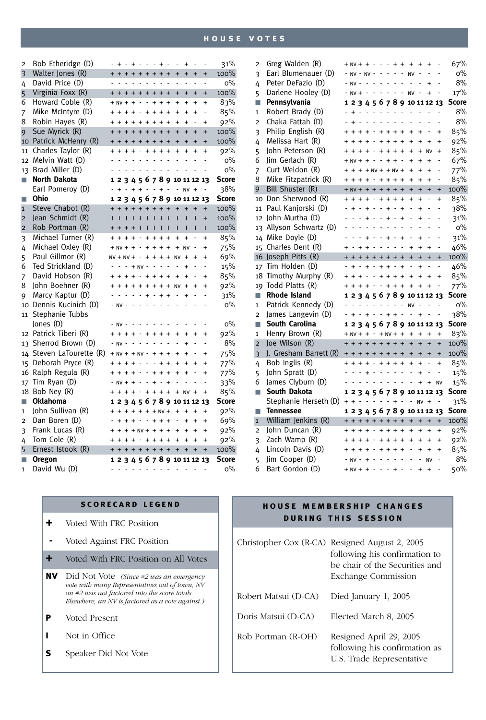| $\overline{2}$          | Bob Etheridge (D)     |           | - + - + - - - + -     |         |                |                          |                          |                |                       |                          | $\overline{\phantom{a}}$      | $\ddot{}$      | $\overline{\phantom{a}}$ | $\overline{\phantom{a}}$ | 31%          |
|-------------------------|-----------------------|-----------|-----------------------|---------|----------------|--------------------------|--------------------------|----------------|-----------------------|--------------------------|-------------------------------|----------------|--------------------------|--------------------------|--------------|
| $\overline{\mathbf{3}}$ | Walter Jones (R)      |           | + + + + + + + + +     |         |                |                          |                          |                |                       |                          | $\ddot{}$                     | $\ddot{}$      | $\ddot{}$                | $\ddot{}$                | 100%         |
| 4                       | David Price (D)       |           |                       |         |                |                          |                          |                | .                     |                          |                               |                | $\overline{a}$           | $\overline{a}$           | $O\%$        |
| 5                       | Virginia Foxx (R)     |           | + + + + + + + + +     |         |                |                          |                          |                |                       |                          | $\ddot{}$                     | $\ddot{}$      | $\ddot{}$                | $\ddot{}$                | 100%         |
| 6                       | Howard Coble (R)      |           | $+ NV + + - + + +$    |         |                |                          |                          |                |                       |                          | $\ddot{+}$                    | $\ddot{}$      | $\ddot{}$                | $\ddot{}$                | 83%          |
| 7                       | Mike McIntyre (D)     |           | + + + + - + + + +     |         |                |                          |                          |                |                       |                          | $\ddot{}$                     | $\ddot{}$      | $\ddot{}$                | $\overline{a}$           | 85%          |
| 8                       | Robin Hayes (R)       |           | $+ + + + + + + +$     |         |                |                          |                          |                |                       |                          | $\ddot{}$                     | $\ddot{}$      |                          | $\ddot{}$                | 92%          |
| 9                       | Sue Myrick (R)        |           | + + + + + + + + +     |         |                |                          |                          |                |                       |                          | $\ddot{}$                     | $\ddot{}$      | $\ddot{}$                | $\ddot{}$                | 100%         |
| 10                      | Patrick McHenry (R)   |           | + + + + + + + + +     |         |                |                          |                          |                |                       |                          | $\ddot{+}$                    | $\ddot{}$      | $\ddot{}$                | $\ddot{}$                | 100%         |
| 11                      | Charles Taylor (R)    |           | + + + + - + + + +     |         |                |                          |                          |                |                       |                          | $\ddot{+}$                    | $\ddot{+}$     | $\ddot{}$                | $\ddot{}$                | 92%          |
| 12                      | Melvin Watt (D)       |           |                       |         |                | الدائد الدائد الدائد     |                          |                |                       | $\sim$                   |                               |                |                          |                          | $0\%$        |
| 13                      | Brad Miller (D)       |           |                       |         |                | and a state              |                          |                | $\sim$ $\sim$         |                          | $\overline{a}$                |                |                          |                          | о%           |
| П                       | <b>North Dakota</b>   |           |                       |         |                |                          |                          |                |                       |                          | 1 2 3 4 5 6 7 8 9 10 11 12 13 |                |                          |                          | Score        |
|                         | Earl Pomeroy (D)      |           |                       |         |                | $+ - + + - - +$          |                          |                |                       | $\overline{\phantom{a}}$ |                               | $- NV +$       |                          |                          | 38%          |
| П                       | Ohio                  |           |                       |         |                |                          |                          |                |                       |                          | 1 2 3 4 5 6 7 8 9 10 11 12 13 |                |                          |                          | <b>Score</b> |
| $\mathbf{1}$            | Steve Chabot (R)      |           | + + + + + + + +       |         |                |                          |                          |                |                       |                          | $\ddot{}$                     | $\ddot{}$      | $\ddot{}$                | $\ddot{}$                | 100%         |
| $\overline{2}$          | Jean Schmidt (R)      | L         | $\mathbf{L}$          |         |                |                          |                          |                | 1111111               |                          | L                             | I.             | $\overline{1}$           | $\ddot{}$                | 100%         |
| $\overline{2}$          | Rob Portman (R)       |           | + + + +               |         |                |                          |                          |                |                       | т                        | Ī                             | т              | T                        | $\overline{1}$           | 100%         |
| 3                       | Michael Turner (R)    | $\ddot{}$ | $+ + + - + + + +$     |         |                |                          |                          |                |                       |                          | $\ddot{+}$                    | $\ddot{}$      | $\overline{a}$           | $\ddot{}$                | 85%          |
| 4                       | Michael Oxley (R)     |           | $+ NV + + - + + + +$  |         |                |                          |                          |                |                       |                          |                               | $+  NV$        |                          | $\ddot{}$                | 75%          |
| 5                       | Paul Gillmor (R)      |           | $NV + NV + - + + + +$ |         |                |                          |                          |                |                       |                          | <b>NV</b>                     | $\ddot{+}$     | $\ddot{}$                | $\ddot{}$                | 69%          |
| 6                       | Ted Strickland (D)    |           |                       |         |                | $- + NV -$               |                          |                | $\sim$ $\sim$ $\sim$  |                          | $\overline{a}$                | $\ddot{}$      |                          | $\overline{a}$           | 15%          |
| 7                       | David Hobson (R)      |           | $+ + + - + + + +$     |         |                |                          |                          |                |                       |                          | $\ddot{+}$                    | $\ddot{}$      |                          | $\ddot{}$                | 85%          |
| 8                       | John Boehner (R)      |           |                       |         |                |                          |                          |                | $+ + + + + + + +$     |                          | N <sub>V</sub>                | $\ddot{+}$     | $\ddot{}$                | $\ddot{}$                | 92%          |
| 9                       | Marcy Kaptur (D)      |           |                       |         |                | $\overline{a}$           | $\overline{+}$           |                | $- + +$               |                          | $\overline{a}$                | $\ddot{}$      | $\overline{a}$           | ä,                       | 31%          |
| 10                      | Dennis Kucinich (D)   |           | $- NV -$              |         |                |                          | $\overline{a}$           | $\sim$         | $\sim$                | $\overline{\phantom{a}}$ |                               | $\overline{a}$ |                          |                          | о%           |
| 11                      | Stephanie Tubbs       |           |                       |         |                |                          |                          |                |                       |                          |                               |                |                          |                          |              |
|                         | Jones (D)             |           |                       |         |                |                          |                          | $\overline{a}$ |                       |                          |                               |                |                          |                          | о%           |
|                         | 12 Patrick Tiberi (R) |           | $+ + + - + + + +$     |         |                |                          |                          |                |                       |                          | $\ddot{}$                     | $\ddot{}$      | $\ddot{}$                | $\ddot{}$                | 92%          |
| 13                      | Sherrod Brown (D)     |           | $- NV -$              |         |                | $\overline{\phantom{a}}$ |                          | $\sim$         |                       |                          |                               | $\ddot{+}$     |                          |                          | 8%           |
| 14                      | Steven LaTourette (R) |           | $+ NV + + NV - + + +$ |         |                |                          |                          |                |                       |                          | $\ddot{}$                     | $\ddot{}$      |                          | $\ddot{}$                | 75%          |
| 15                      | Deborah Pryce (R)     |           |                       |         | $\overline{+}$ | $\overline{\phantom{a}}$ | $\overline{a}$           | $\overline{a}$ | $\ddot{+}$            | $\ddot{+}$               | $\ddot{}$                     | $\ddot{+}$     | $\ddot{}$                | $\ddot{}$                | 77%          |
| 16                      | Ralph Regula (R)      |           |                       |         |                |                          |                          |                | $+ + + + \cdot + + +$ |                          | $\ddot{+}$                    | $\ddot{}$      | l,                       | $\ddot{}$                | 77%          |
| 17                      | Tim Ryan $(D)$        |           | $- NV + + -$          |         |                |                          |                          |                | $- + - +$             |                          |                               |                |                          |                          | 33%          |
| 18                      | Bob Ney (R)           |           |                       |         |                |                          |                          |                | $+ + + - + + + +$     |                          |                               | $+  NV$        | $\overline{+}$           | $\ddot{}$                | 85%          |
| П                       | <b>Oklahoma</b>       |           |                       |         |                |                          |                          |                |                       |                          | 123456789101112               |                |                          | 13                       | Score        |
| $\mathbf{1}$            | John Sullivan (R)     |           | $+ + + + + + + + +$   |         |                |                          |                          |                |                       |                          | $\ddot{}$                     | $\ddot{}$      | $\ddot{}$                | $\ddot{}$                | 92%          |
| $\overline{2}$          | Dan Boren (D)         |           |                       | $+ + +$ |                |                          | $\overline{\phantom{a}}$ |                | $+ + +$               |                          | $\overline{a}$                | $\ddot{}$      | $\ddot{+}$               | $\ddot{}$                | 69%          |
| 3                       | Frank Lucas (R)       |           |                       |         |                |                          |                          |                | $+ + NV + + + +$      |                          | $\ddot{}$                     | $\ddot{}$      | $\ddot{}$                | $\ddot{}$                | 92%          |
| 4                       | Tom Cole (R)          |           |                       |         |                |                          |                          |                | $+ + + - + + + +$     |                          | $\ddot{}$                     | $\ddot{}$      | $\ddot{}$                | $\ddot{}$                | 92%          |
| 5                       | Ernest Istook (R)     |           |                       |         |                |                          |                          |                |                       |                          | + + + + + + + + + +           |                | $\ddot{}$                | $\ddot{}$                | 100%         |
| П                       | <b>Oregon</b>         |           |                       |         |                |                          |                          |                |                       |                          | 1 2 3 4 5 6 7 8 9 10 11 12 13 |                |                          |                          | Score        |
| $\mathbf{1}$            | David Wu (D)          |           |                       |         |                |                          |                          |                |                       |                          | $\sim$ $\sim$                 |                | $\overline{a}$           |                          | $O\%$        |

| $\overline{2}$ | Greg Walden (R)        | $+ NV + + -$          |                |                                           |                          |                          |                          |                          |                          | $- - + + + +$                 | $\ddot{}$                | $\ddot{}$      |                | 67%          |
|----------------|------------------------|-----------------------|----------------|-------------------------------------------|--------------------------|--------------------------|--------------------------|--------------------------|--------------------------|-------------------------------|--------------------------|----------------|----------------|--------------|
| 3              | Earl Blumenauer (D)    | $NV - NV - -$         |                |                                           |                          |                          | $\overline{\phantom{a}}$ | $\overline{\phantom{a}}$ |                          | <b>NV</b>                     |                          |                |                | $0\%$        |
| 4              | Peter DeFazio (D)      | $NVI -$               |                | $\sim$ $\sim$                             |                          | $\sim$ $\sim$ $\sim$     |                          |                          | L                        | L                             | $\overline{a}$           | $\ddot{}$      |                | 8%           |
| 5              | Darlene Hooley (D)     | $- NV + - - - - -$    |                |                                           |                          |                          |                          |                          | $\sim$                   | $N$ V -                       |                          | $\ddot{}$      |                | 17%          |
| П              | Pennsylvania           |                       |                |                                           |                          |                          |                          |                          |                          | 1 2 3 4 5 6 7 8 9 10 11 12 13 |                          |                |                | <b>Score</b> |
| 1              | Robert Brady (D)       | $+ - - -$             |                |                                           |                          | $\sim$ $-$               |                          | $\sim$                   | $\sim$                   | L                             |                          |                |                | 8%           |
| $\overline{2}$ | Chaka Fattah (D)       | $\ddot{+}$ .          |                | and a series                              |                          |                          |                          |                          | $\overline{\phantom{a}}$ | L                             |                          |                | $\overline{a}$ | 8%           |
| 3              | Philip English (R)     | $+ + + +$             |                |                                           |                          |                          |                          | $+ + + +$                |                          | $\ddot{}$                     | $\ddot{}$                |                | $\ddot{}$      | 85%          |
| 4              | Melissa Hart (R)       |                       |                |                                           |                          |                          |                          | $+ + + - + + + +$        |                          | $\ddot{}$                     | $\ddot{}$                | $\ddot{}$      | $\ddot{}$      | 92%          |
| 5              | John Peterson (R)      |                       |                |                                           |                          |                          |                          | $+ + + - + + + +$        |                          | $\ddot{}$                     | $\ddot{+}$               | <b>NV</b>      | $\ddot{}$      | 85%          |
| 6              | Jim Gerlach (R)        | $+ NV + + - - + +$    |                |                                           |                          |                          |                          |                          | $\overline{\phantom{a}}$ | $\ddot{+}$                    | $\ddot{}$                | $\ddot{}$      |                | 67%          |
| 7              | Curt Weldon (R)        | $+ + + NV + + NV +$   |                |                                           |                          |                          |                          |                          |                          | $\ddot{}$                     | $\ddot{}$                | $\ddot{}$      | Ĭ.             | 77%          |
| 8              | Mike Fitzpatrick (R)   | $+ + + - + + + +$     |                |                                           |                          |                          |                          |                          |                          | $\ddot{}$                     | $\ddot{}$                | $\ddot{}$      | $\overline{a}$ | 85%          |
| 9              | Bill Shuster (R)       | $+ NV + + + + + + +$  |                |                                           |                          |                          |                          |                          |                          | $\ddot{+}$                    | $\ddot{+}$               | $\ddot{+}$     | $\ddot{}$      | 100%         |
| 10             | Don Sherwood (R)       |                       |                | $+ + +$                                   | $\overline{\phantom{a}}$ |                          | $+ + +$                  |                          | $\ddot{+}$               | $\ddot{+}$                    | $\ddot{}$                | $\overline{a}$ | $\ddot{}$      | 85%          |
| 11             | Paul Kanjorski (D)     | $+$ $-$               |                | $+$ -                                     |                          | $\sim$                   | $+$ -                    |                          | $\ddot{+}$               | $\overline{a}$                | $\ddot{}$                | Ĭ.             |                | 38%          |
| 12             | John Murtha (D)        |                       |                | $\pm$ $\pm$                               |                          |                          | $\pm$ $\pm$              |                          | $\ddot{+}$               |                               | $\ddot{}$                |                |                | 31%          |
| 13             | Allyson Schwartz (D)   |                       |                |                                           | $\overline{a}$           | $\overline{a}$           | $\overline{a}$           |                          | $\overline{a}$           | $\overline{a}$                | $\overline{a}$           | $\overline{a}$ |                | O%           |
| 14             | Mike Doyle (D)         |                       |                | $\ddot{+}$                                |                          | $- + -$                  |                          |                          | $\overline{+}$           |                               | $\ddot{}$                |                |                | 31%          |
| 15             | Charles Dent (R)       |                       |                | $+ +$                                     | $\overline{\phantom{a}}$ | $\overline{\phantom{a}}$ | $\sim$                   |                          | $\overline{a}$           | $\ddot{}$                     | $\ddot{}$                | $\ddot{}$      |                | 46%          |
| 16             | Joseph Pitts (R)       | + + + + + + + + +     |                |                                           |                          |                          |                          |                          |                          | $\ddot{+}$                    | $\ddot{+}$               | $\ddot{+}$     | $\ddot{}$      | 100%         |
| 17             | Tim Holden (D)         |                       |                |                                           |                          |                          |                          | $+ + + + + +$            | $\ddot{}$                | L                             | $\ddot{}$                | $\overline{a}$ | $\overline{a}$ | 46%          |
| 18             | Timothy Murphy (R)     | + + + - - + + + +     |                |                                           |                          |                          |                          |                          |                          | $\ddot{}$                     | $\ddot{}$                | $\ddot{}$      | $\ddot{}$      | 85%          |
| 19             | Todd Platts (R)        |                       |                |                                           |                          |                          |                          | $+ + + - - + + +$        |                          | $\ddot{}$                     | $\ddot{}$                | $\ddot{}$      |                | 77%          |
| П              | <b>Rhode Island</b>    |                       |                |                                           |                          |                          |                          |                          |                          | 1 2 3 4 5 6 7 8 9 10 11 12 13 |                          |                |                | Score        |
| $\mathbf{1}$   | Patrick Kennedy (D)    |                       | $\overline{a}$ |                                           |                          |                          |                          | المتحالف المتحدث         |                          | NV                            | $\overline{\phantom{a}}$ | l,             |                | $0\%$        |
| $\overline{2}$ | James Langevin (D)     | $+$ $-$               |                | $+$ -                                     |                          |                          |                          | $- + + -$                |                          | ÷.                            | $\ddot{}$                |                |                | 38%          |
| П              | South Carolina         |                       |                |                                           |                          |                          |                          |                          |                          | 1 2 3 4 5 6 7 8 9 10 11 12    |                          |                | 13             | Score        |
| $\mathbf{1}$   | Henry Brown (R)        | $+ NV + + - + NV + +$ |                |                                           |                          |                          |                          |                          |                          | $+$                           | $\ddot{}$                | $\ddot{}$      | $\ddot{}$      | 83%          |
| $\overline{2}$ | Joe Wilson (R)         | + + + + + + + +       |                |                                           |                          |                          |                          |                          |                          | $\ddot{+}$                    | $\ddot{}$                | $\ddot{+}$     | $\ddot{}$      | 100%         |
| 3              | J. Gresham Barrett (R) | + + + + + + + +       |                |                                           |                          |                          |                          |                          |                          | $+$                           | $\ddot{}$                | $\ddot{}$      | $\ddot{}$      | 100%         |
| 4              | Bob Inglis (R)         |                       |                |                                           |                          |                          |                          | $+ - + + + +$            |                          | $\ddot{}$                     | $\ddot{}$                |                | $\ddot{}$      | 85%          |
| 5              | John Spratt (D)        |                       |                |                                           | $+ - - -$                |                          |                          |                          | $\sim$                   | $\overline{a}$                | $\ddot{}$                |                | $\overline{a}$ | 15%          |
| 6              | James Clyburn (D)      |                       |                | $\omega$ , $\omega$ , $\omega$ , $\omega$ |                          |                          |                          |                          | $\overline{a}$           | $\overline{a}$                | $\ddot{}$                | $\ddot{}$      | NV             | 15%          |
| П              | South Dakota           |                       |                |                                           |                          |                          |                          |                          |                          | 1 2 3 4 5 6 7 8 9 10 11 12 13 |                          |                |                | <b>Score</b> |
|                | Stephanie Herseth (D)  | + + - - - - - + -     |                |                                           |                          |                          |                          |                          |                          |                               | $- NV +$                 |                |                | 31%          |
| П              | <b>Tennessee</b>       |                       |                |                                           |                          |                          |                          |                          |                          | 123456789101112               |                          |                | 13             | <b>Score</b> |
| $\mathbf{1}$   | William Jenkins (R)    | + + + + + + + +       |                |                                           |                          |                          |                          |                          |                          | $\ddot{+}$                    | $\ddot{}$                | $\ddot{}$      | $+$            | 100%         |
| $\overline{2}$ | John Duncan (R)        |                       |                |                                           |                          |                          |                          | $+ - + + + +$            |                          | $\ddot{}$                     | $\ddot{}$                | $\ddot{}$      | $\ddot{}$      | 92%          |
| 3              | Zach Wamp (R)          |                       |                |                                           |                          |                          |                          | $+ + + - + + + +$        |                          | $\ddot{}$                     | $\ddot{}$                | $\ddot{}$      | $\ddot{}$      | 92%          |
| 4              | Lincoln Davis (D)      |                       |                |                                           |                          |                          |                          | $+ + + - + + + +$        |                          | Ĭ.                            | $\ddot{}$                | $\ddot{}$      | $\ddot{}$      | 85%          |
| 5              | Jim Cooper (D)         |                       |                | $+$ -                                     |                          | $\overline{a}$           | $\overline{\phantom{a}}$ |                          | $\overline{a}$           | $\overline{a}$                |                          | <b>NV</b>      |                | 8%           |
| 6              | Bart Gordon (D)        | $+ NV + + -$          |                |                                           |                          |                          |                          | $\ddot{}$                |                          |                               | $\ddot{}$                | $\ddot{}$      |                | 50%          |

# **scorecard legend**

- **+** Voted With FRC Position
- **-** Voted Against FRC Position
- **+** Voted With FRC Position on All Votes
- **nv** Did Not Vote *(Since #2 was an emergency vote with many Representatives out of town, NV on #2 was not factored into the score totals. Elsewhere, an NV is factored as a vote against.)*
- **p** Voted Present
- **i** Not in Office
- **s** Speaker Did Not Vote

# **house membership changes during this session**

|                      | Christopher Cox (R-CA) Resigned August 2, 2005<br>following his confirmation to<br>be chair of the Securities and<br>Exchange Commission |
|----------------------|------------------------------------------------------------------------------------------------------------------------------------------|
| Robert Matsui (D-CA) | Died January 1, 2005                                                                                                                     |
| Doris Matsui (D-CA)  | Elected March 8, 2005                                                                                                                    |
| Rob Portman (R-OH)   | Resigned April 29, 2005<br>following his confirmation as<br>U.S. Trade Representative                                                    |